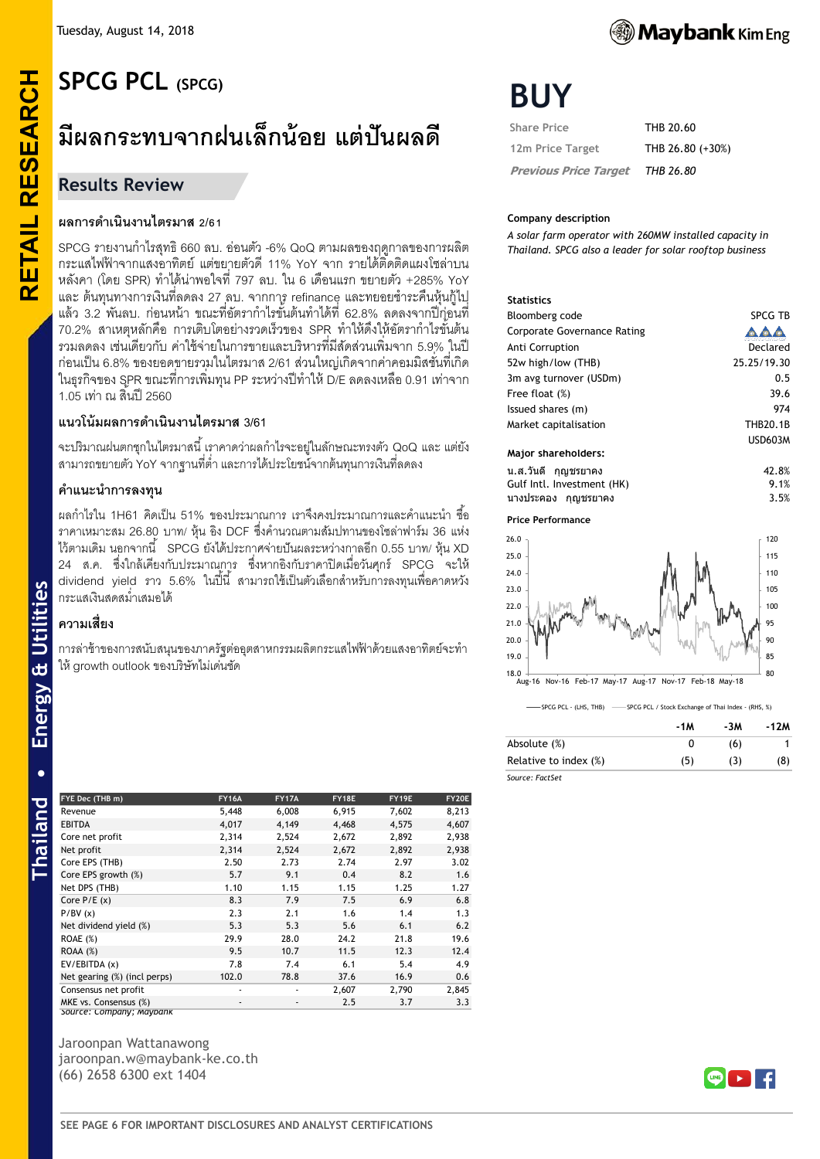# **RETAIL RESEARCH SPCG PCL (SPCG)**

# **มีผลกระทบจากฝนเล็กน้อย แต่ปันผลดี**

# **Results Review**

**RETAIL RESEARCH** 

## **ผลการด าเนินงานไตรมาส 2/61**

SPCG รายงานกำไรสุทธิ 660 ลบ. อ่อนตัว -6% QoQ ตามผลของฤดูกาลของการผลิต กระแสไฟฟ้ าจากแสงอาทิตย์แต่ขยายตัวดี11% YoY จาก รายได้ติดติดแผงโซล่าบน หลังคา (โดย SPR) ท าได้น่าพอใจที่ 797 ลบ. ใน 6 เดือนแรก ขยายตัว +285% YoY และ ต้นทุนทางการเงินที่ลดลง 27 ลบ. จากการ refinance และทยอยชำระคืนหุ้นกู้ไป ้ แล้ว 3.2 พันลบ. ก่อนหน้า ขณะที่อัตรากำไรขั้นต้นทำได้ที่ 62.8% ลดลงจากปีกุ่อนที่ 70.2% สาเหตุหลักคือ การเติบโตอย่างรวดเร็วของ SPR ทำให้ดึงให้อัตรากำไรขันต้น รวมลดลง เช่นเดียวกับ ค่าใช้จ่ายในการขายและบริหารที่มีสัดส่วนเพิ่มจาก 5.9% ในปี ก่อนเป็ น 6.8% ของยอดขายรวมในไตรมาส 2/61 ส่วนใหญ่เกิดจากค่าคอมมิสชั่นที่เกิด ในธุรกิจของ SPR ขณะที่การเพิ่มทุน PP ระหว่างปีทำให้ D/E ลดลงเหลือ 0.91 เท่าจาก 1.05 เท่า ณ สิ้นปี 2560

# **แนวโน้มผลการด าเนินงานไตรมาส 3/61**

จะปริมาณฝนตกชุกในไตรมาสนี้ เราคาดว่าผลกำไรจะอยู่ในลักษณะทรงตัว QoQ และ แต่ยัง ี สามารถขยายตัว YoY จากฐานที่ต่ำ และการได้ประโยชน์จากต้นทุนการเงินที่ลดลง

#### **ค าแนะน าการลงทุน**

ี ผลกำไรใน 1H61 คิดเป็น 51% ของประมาณการ เราจึงคงประมาณการและคำแนะนำ ซื้อ ิ ราคาเหมาะสม 26.80 บาท/ หุ้น อิง DCF ซึ่งคำนวณตามสัมปทานของโซล่าฟาร์ม 36 แห่ง ไว้ตามเดิม นอกจากนี ้ SPCG ยังได้ประกาศจ่ายปันผลระหว่างกาลอีก 0.55 บาท/ หุ้น XD 24 ส.ค. ซึ่งใกล้เคียงกับประมาณการ ซึ่งหากอิงกับราคาปิ ดเมื่อวันศุกร์ SPCG จะให้ ่ dividend yield ราว 5.6% ในปี้นี้ สามารถใช้เป็นตัวเลือกสำหรับการลงทุนเพื่อคาดหวัง กระแสเงินสดสม่ำเสมคได้

# **ความเสี่ยง**

การล่าช้าของการสนับสนุนของภาครัฐต่ออุตสาหกรรมผลิตกระแสไฟฟ้ าด้วยแสงอาทิตย์จะท า ให้growth outlook ของบริษัทไม่เด่นชัด

| FYE Dec (THB m)              | <b>FY16A</b> | <b>FY17A</b> | FY18E | FY19E | FY20E |
|------------------------------|--------------|--------------|-------|-------|-------|
| Revenue                      | 5,448        | 6,008        | 6,915 | 7,602 | 8,213 |
| <b>EBITDA</b>                | 4,017        | 4,149        | 4,468 | 4,575 | 4,607 |
| Core net profit              | 2,314        | 2,524        | 2,672 | 2,892 | 2,938 |
| Net profit                   | 2,314        | 2,524        | 2,672 | 2,892 | 2,938 |
| Core EPS (THB)               | 2.50         | 2.73         | 2.74  | 2.97  | 3.02  |
| Core EPS growth (%)          | 5.7          | 9.1          | 0.4   | 8.2   | 1.6   |
| Net DPS (THB)                | 1.10         | 1.15         | 1.15  | 1.25  | 1.27  |
| Core $P/E(x)$                | 8.3          | 7.9          | 7.5   | 6.9   | 6.8   |
| P/BV(x)                      | 2.3          | 2.1          | 1.6   | 1.4   | 1.3   |
| Net dividend yield (%)       | 5.3          | 5.3          | 5.6   | 6.1   | 6.2   |
| <b>ROAE</b> (%)              | 29.9         | 28.0         | 24.2  | 21.8  | 19.6  |
| $ROAA (\%)$                  | 9.5          | 10.7         | 11.5  | 12.3  | 12.4  |
| EV/EBITDA (x)                | 7.8          | 7.4          | 6.1   | 5.4   | 4.9   |
| Net gearing (%) (incl perps) | 102.0        | 78.8         | 37.6  | 16.9  | 0.6   |
| Consensus net profit         | ٠            | ٠            | 2,607 | 2,790 | 2,845 |
| MKE vs. Consensus (%)        | ٠            | ٠            | 2.5   | 3.7   | 3.3   |
| Source: Lompany; Maybank     |              |              |       |       |       |

Jaroonpan Wattanawong jaroonpan.w@maybank-ke.co.th (66) 2658 6300 ext 1404

# **Maybank** Kim Eng

# **BUY**

| <b>Share Price</b>           | THB 20.60        |
|------------------------------|------------------|
| 12m Price Target             | THB 26.80 (+30%) |
| <b>Previous Price Target</b> | THB 26.80        |

#### **Company description**

*A solar farm operator with 260MW installed capacity in Thailand. SPCG also a leader for solar rooftop business*

#### **Statistics**

| Bloomberg code                     | SPCG TB         |
|------------------------------------|-----------------|
| <b>Corporate Governance Rating</b> |                 |
| Anti Corruption                    | Declared        |
| 52w high/low (THB)                 | 25.25/19.30     |
| 3m avg turnover (USDm)             | 0.5             |
| Free float (%)                     | 39.6            |
| Issued shares (m)                  | 974             |
| Market capitalisation              | <b>THB20.1B</b> |
|                                    | <b>USD603M</b>  |
| Major shareholders:                |                 |

#### น.ส.วนั ดี กญุ ชรยาคง 42.8% Gulf Intl. Investment (HK) 9.1% นางประคอง กญุ ชรยาคง 3.5%

**Price Performance**



<sup>-&</sup>lt;br>SPCG PCL - (LHS, THB) -------<br>SPCG PCL / Stock Exchange of Thai Index - (RHS, %)

|                       | -1M      | -3M | $-12M$ |
|-----------------------|----------|-----|--------|
| Absolute (%)          | $^{(1)}$ | (6) |        |
| Relative to index (%) | (5)      | (3) | (8)    |
| Source: FactSet       |          |     |        |

*Source: FactSet*

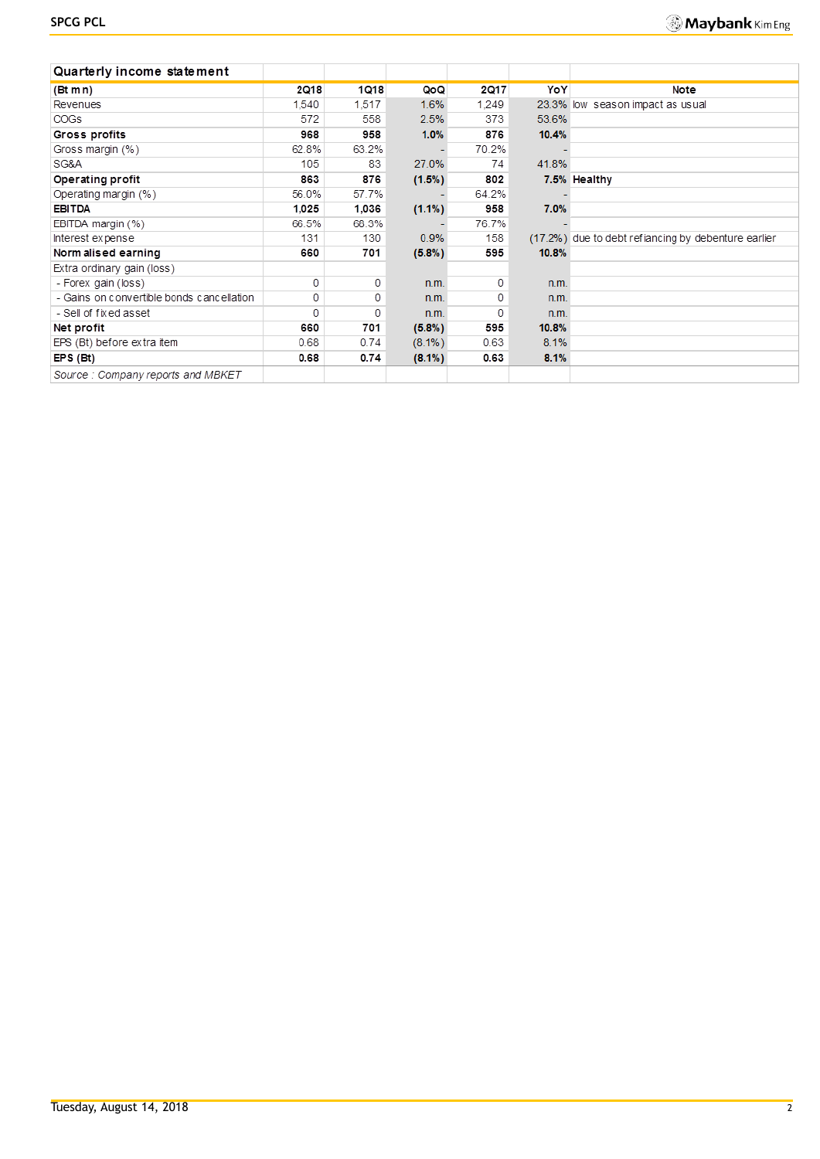| Quarterly income statement                |             |       |           |             |       |                                                     |
|-------------------------------------------|-------------|-------|-----------|-------------|-------|-----------------------------------------------------|
| (Bt m n)                                  | <b>2Q18</b> | 1018  | QoQ       | <b>2Q17</b> | YoY   | Note                                                |
| Revenues                                  | 1.540       | 1,517 | 1.6%      | 1.249       |       | 23.3% low season impact as usual                    |
| <b>COGs</b>                               | 572         | 558   | 2.5%      | 373         | 53.6% |                                                     |
| Gross profits                             | 968         | 958   | 1.0%      | 876         | 10.4% |                                                     |
| Gross margin (%)                          | 62.8%       | 63.2% |           | 70.2%       |       |                                                     |
| SG&A                                      | 105         | 83    | 27.0%     | 74          | 41.8% |                                                     |
| Operating profit                          | 863         | 876   | (1.5%)    | 802         |       | 7.5% Healthy                                        |
| Operating margin (%)                      | 56.0%       | 57.7% |           | 64.2%       |       |                                                     |
| <b>EBITDA</b>                             | 1,025       | 1.036 | $(1.1\%)$ | 958         | 7.0%  |                                                     |
| EBITDA margin (%)                         | 66.5%       | 68.3% |           | 76.7%       |       |                                                     |
| Interest expense                          | 131         | 130   | 0.9%      | 158         |       | (17.2%) due to debt refiancing by debenture earlier |
| Norm alised earning                       | 660         | 701   | $(5.8\%)$ | 595         | 10.8% |                                                     |
| Extra ordinary gain (loss)                |             |       |           |             |       |                                                     |
| - Forex gain (loss)                       | 0           | 0     | n.m.      | 0           | n.m.  |                                                     |
| - Gains on convertible bonds cancellation | 0           | 0     | n.m.      | 0           | n.m.  |                                                     |
| - Sell of fixed asset                     | 0           | 0     | n.m.      | 0           | n.m.  |                                                     |
| Net profit                                | 660         | 701   | $(5.8\%)$ | 595         | 10.8% |                                                     |
| EPS (Bt) before extra item                | 0.68        | 0.74  | $(8.1\%)$ | 0.63        | 8.1%  |                                                     |
| $EPS$ (Bt)                                | 0.68        | 0.74  | $(8.1\%)$ | 0.63        | 8.1%  |                                                     |
| Source: Company reports and MBKET         |             |       |           |             |       |                                                     |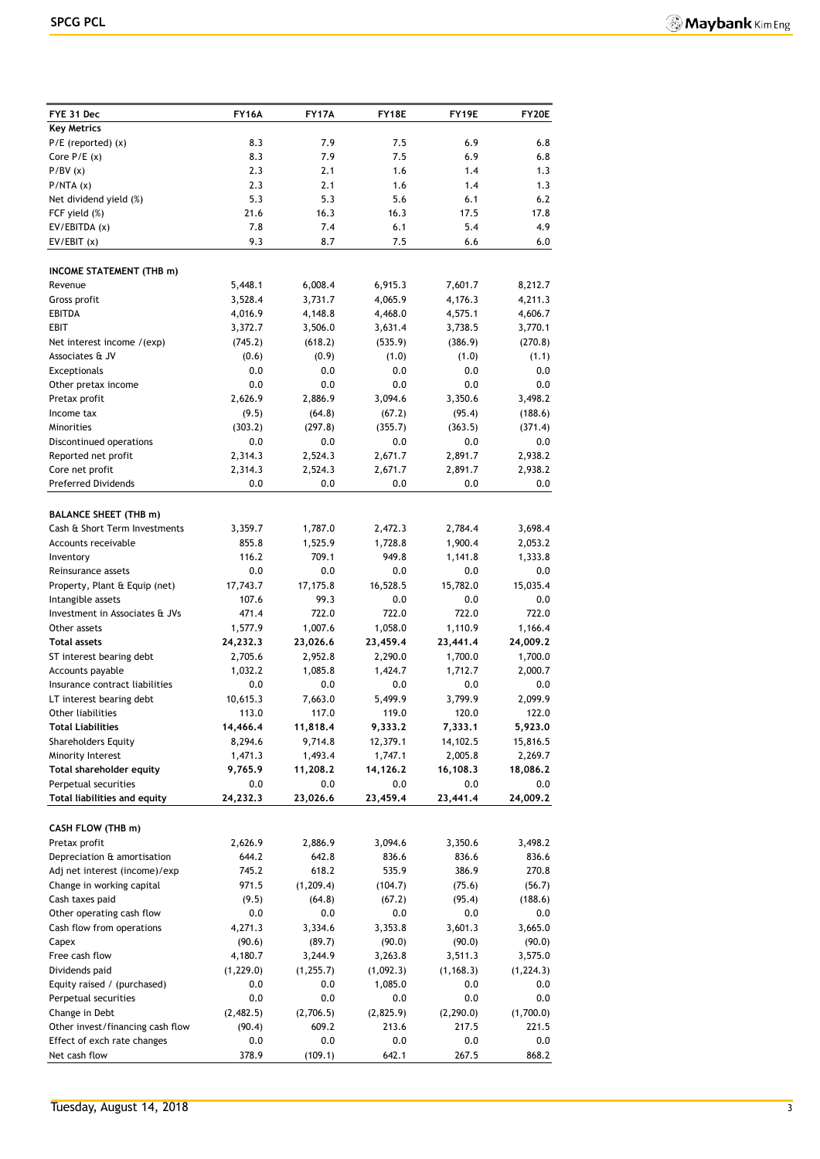| FYE 31 Dec                                           | <b>FY16A</b>          | <b>FY17A</b>          | FY18E             | FY19E             | FY20E              |
|------------------------------------------------------|-----------------------|-----------------------|-------------------|-------------------|--------------------|
| <b>Key Metrics</b>                                   |                       |                       |                   |                   |                    |
| $P/E$ (reported) $(x)$                               | 8.3                   | 7.9                   | 7.5               | 6.9               | 6.8                |
| Core $P/E(x)$                                        | 8.3                   | 7.9                   | 7.5               | 6.9               | 6.8                |
| P/BV(x)                                              | 2.3                   | 2.1                   | 1.6               | 1.4               | 1.3                |
| P/NTA(x)                                             | 2.3                   | 2.1                   | 1.6               | 1.4               | 1.3                |
| Net dividend yield (%)                               | 5.3                   | 5.3                   | 5.6               | 6.1               | 6.2                |
| FCF yield (%)                                        | 21.6                  | 16.3                  | 16.3              | 17.5              | 17.8               |
| EV/EBITDA (x)                                        | 7.8                   | 7.4                   | 6.1               | 5.4               | 4.9                |
| EV/EBIT(x)                                           | 9.3                   | 8.7                   | 7.5               | 6.6               | 6.0                |
| <b>INCOME STATEMENT (THB m)</b>                      |                       |                       |                   |                   |                    |
| Revenue                                              | 5,448.1               | 6,008.4               | 6,915.3           | 7,601.7           | 8,212.7            |
| Gross profit                                         | 3,528.4               | 3,731.7               | 4,065.9           | 4,176.3           | 4,211.3            |
| EBITDA                                               | 4,016.9               | 4,148.8               | 4,468.0           | 4,575.1           | 4,606.7            |
| <b>EBIT</b>                                          | 3,372.7               | 3,506.0               | 3,631.4           | 3,738.5           | 3,770.1            |
| Net interest income /(exp)                           | (745.2)               | (618.2)               | (535.9)           | (386.9)           | (270.8)            |
| Associates & JV                                      | (0.6)                 | (0.9)                 | (1.0)             | (1.0)             | (1.1)              |
| <b>Exceptionals</b>                                  | 0.0                   | 0.0                   | 0.0               | 0.0               | 0.0                |
| Other pretax income                                  | 0.0                   | 0.0                   | 0.0               | 0.0               | 0.0                |
| Pretax profit                                        | 2,626.9               | 2,886.9               | 3,094.6           | 3,350.6           | 3,498.2<br>(188.6) |
| Income tax<br>Minorities                             | (9.5)<br>(303.2)      | (64.8)<br>(297.8)     | (67.2)<br>(355.7) | (95.4)<br>(363.5) | (371.4)            |
| Discontinued operations                              | 0.0                   | 0.0                   | 0.0               | 0.0               | 0.0                |
| Reported net profit                                  | 2,314.3               | 2,524.3               | 2,671.7           | 2,891.7           | 2,938.2            |
| Core net profit                                      | 2,314.3               | 2,524.3               | 2,671.7           | 2,891.7           | 2,938.2            |
| <b>Preferred Dividends</b>                           | 0.0                   | 0.0                   | 0.0               | 0.0               | 0.0                |
|                                                      |                       |                       |                   |                   |                    |
| <b>BALANCE SHEET (THB m)</b>                         |                       |                       |                   |                   |                    |
| Cash & Short Term Investments                        | 3,359.7               | 1,787.0               | 2,472.3           | 2,784.4           | 3,698.4            |
| Accounts receivable                                  | 855.8                 | 1,525.9               | 1,728.8           | 1,900.4           | 2,053.2            |
| Inventory                                            | 116.2                 | 709.1                 | 949.8             | 1,141.8           | 1,333.8            |
| Reinsurance assets                                   | 0.0<br>17,743.7       | 0.0<br>17,175.8       | 0.0<br>16,528.5   | 0.0<br>15,782.0   | 0.0<br>15,035.4    |
| Property, Plant & Equip (net)<br>Intangible assets   | 107.6                 | 99.3                  | 0.0               | 0.0               | 0.0                |
| Investment in Associates & JVs                       | 471.4                 | 722.0                 | 722.0             | 722.0             | 722.0              |
| Other assets                                         | 1,577.9               | 1,007.6               | 1,058.0           | 1,110.9           | 1,166.4            |
| <b>Total assets</b>                                  | 24,232.3              | 23,026.6              | 23,459.4          | 23,441.4          | 24,009.2           |
| ST interest bearing debt                             | 2,705.6               | 2,952.8               | 2,290.0           | 1,700.0           | 1,700.0            |
| Accounts payable                                     | 1,032.2               | 1,085.8               | 1,424.7           | 1,712.7           | 2,000.7            |
| Insurance contract liabilities                       | 0.0                   | 0.0                   | 0.0               | 0.0               | 0.0                |
| LT interest bearing debt                             | 10,615.3              | 7,663.0               | 5,499.9           | 3,799.9           | 2,099.9            |
| Other liabilities                                    | 113.0                 | 117.0                 | 119.0             | 120.0             | 122.0              |
| Total Liabilities                                    | 14,466.4              | 11,818.4              | 9,333.2           | 7,333.1           | 5,923.0            |
| <b>Shareholders Equity</b>                           | 8,294.6               | 9,714.8               | 12,379.1          | 14,102.5          | 15,816.5           |
| Minority Interest                                    | 1,471.3               | 1,493.4               | 1,747.1           | 2,005.8           | 2,269.7            |
| Total shareholder equity                             | 9,765.9               | 11,208.2              | 14,126.2          | 16,108.3          | 18,086.2           |
| Perpetual securities<br>Total liabilities and equity | 0.0<br>24,232.3       | 0.0<br>23,026.6       | 0.0<br>23,459.4   | 0.0<br>23,441.4   | 0.0<br>24,009.2    |
|                                                      |                       |                       |                   |                   |                    |
| CASH FLOW (THB m)                                    |                       |                       |                   |                   |                    |
| Pretax profit                                        | 2,626.9               | 2,886.9               | 3,094.6           | 3,350.6           | 3,498.2            |
| Depreciation & amortisation                          | 644.2                 | 642.8                 | 836.6             | 836.6             | 836.6              |
| Adj net interest (income)/exp                        | 745.2                 | 618.2                 | 535.9             | 386.9             | 270.8              |
| Change in working capital                            | 971.5                 | (1, 209.4)            | (104.7)           | (75.6)            | (56.7)             |
| Cash taxes paid                                      | (9.5)                 | (64.8)                | (67.2)            | (95.4)            | (188.6)            |
| Other operating cash flow                            | 0.0                   | 0.0                   | 0.0               | 0.0               | 0.0                |
| Cash flow from operations                            | 4,271.3               | 3,334.6               | 3,353.8           | 3,601.3           | 3,665.0            |
| Capex                                                | (90.6)                | (89.7)                | (90.0)<br>3,263.8 | (90.0)            | (90.0)             |
| Free cash flow<br>Dividends paid                     | 4,180.7<br>(1, 229.0) | 3,244.9<br>(1, 255.7) | (1,092.3)         | 3,511.3           | 3,575.0            |
| Equity raised / (purchased)                          | 0.0                   | 0.0                   | 1,085.0           | (1, 168.3)<br>0.0 | (1, 224.3)<br>0.0  |
| Perpetual securities                                 | 0.0                   | 0.0                   | 0.0               | 0.0               | 0.0                |
| Change in Debt                                       | (2,482.5)             | (2,706.5)             | (2,825.9)         | (2, 290.0)        | (1,700.0)          |
| Other invest/financing cash flow                     | (90.4)                | 609.2                 | 213.6             | 217.5             | 221.5              |
| Effect of exch rate changes                          | 0.0                   | 0.0                   | 0.0               | 0.0               | 0.0                |
| Net cash flow                                        | 378.9                 | (109.1)               | 642.1             | 267.5             | 868.2              |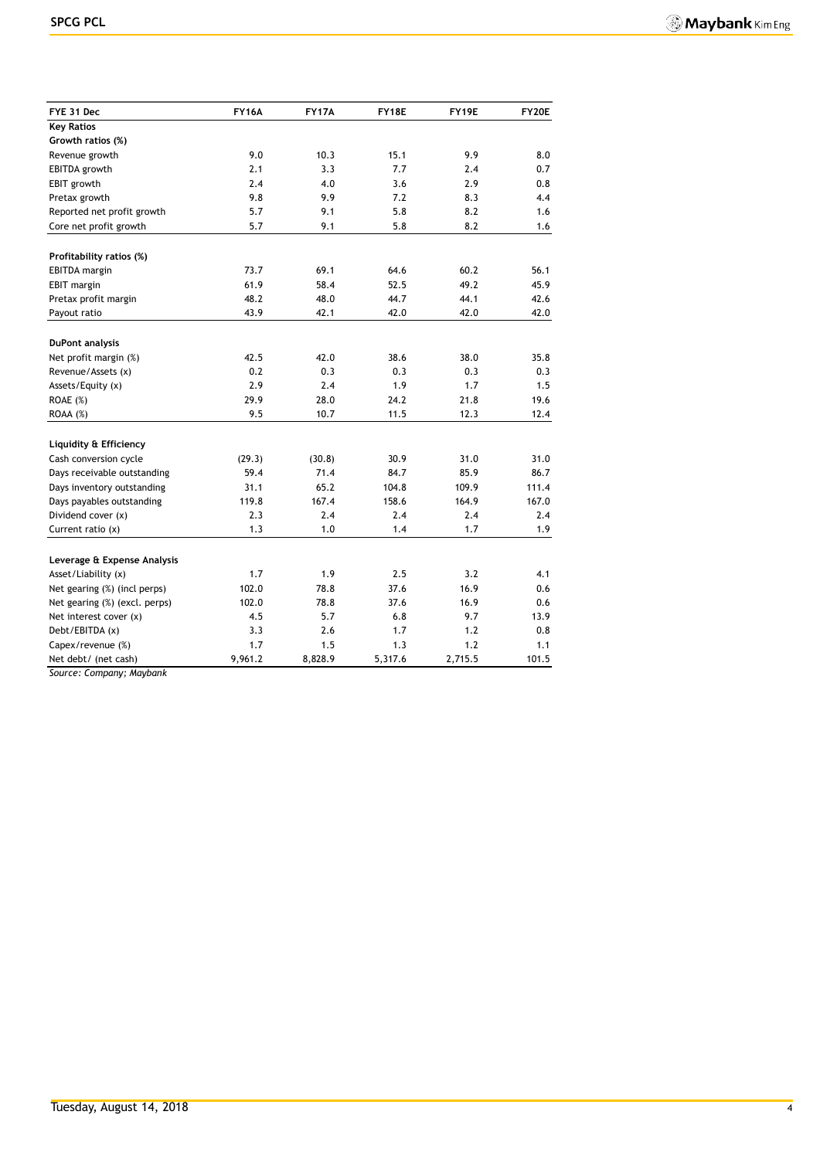| FYE 31 Dec                    | <b>FY16A</b> | <b>FY17A</b> | FY18E   | FY19E   | <b>FY20E</b> |
|-------------------------------|--------------|--------------|---------|---------|--------------|
| <b>Key Ratios</b>             |              |              |         |         |              |
| Growth ratios (%)             |              |              |         |         |              |
| Revenue growth                | 9.0          | 10.3         | 15.1    | 9.9     | 8.0          |
| EBITDA growth                 | 2.1          | 3.3          | 7.7     | 2.4     | 0.7          |
| EBIT growth                   | 2.4          | 4.0          | 3.6     | 2.9     | 0.8          |
| Pretax growth                 | 9.8          | 9.9          | 7.2     | 8.3     | 4.4          |
| Reported net profit growth    | 5.7          | 9.1          | 5.8     | 8.2     | 1.6          |
| Core net profit growth        | 5.7          | 9.1          | 5.8     | 8.2     | 1.6          |
| Profitability ratios (%)      |              |              |         |         |              |
| <b>EBITDA</b> margin          | 73.7         | 69.1         | 64.6    | 60.2    | 56.1         |
| <b>EBIT</b> margin            | 61.9         | 58.4         | 52.5    | 49.2    | 45.9         |
| Pretax profit margin          | 48.2         | 48.0         | 44.7    | 44.1    | 42.6         |
| Payout ratio                  | 43.9         | 42.1         | 42.0    | 42.0    | 42.0         |
|                               |              |              |         |         |              |
| <b>DuPont analysis</b>        |              |              |         |         |              |
| Net profit margin (%)         | 42.5         | 42.0         | 38.6    | 38.0    | 35.8         |
| Revenue/Assets (x)            | 0.2          | 0.3          | 0.3     | 0.3     | 0.3          |
| Assets/Equity (x)             | 2.9          | 2.4          | 1.9     | 1.7     | 1.5          |
| ROAE (%)                      | 29.9         | 28.0         | 24.2    | 21.8    | 19.6         |
| $ROAA (\%)$                   | 9.5          | 10.7         | 11.5    | 12.3    | 12.4         |
| Liquidity & Efficiency        |              |              |         |         |              |
| Cash conversion cycle         | (29.3)       | (30.8)       | 30.9    | 31.0    | 31.0         |
| Days receivable outstanding   | 59.4         | 71.4         | 84.7    | 85.9    | 86.7         |
| Days inventory outstanding    | 31.1         | 65.2         | 104.8   | 109.9   | 111.4        |
| Days payables outstanding     | 119.8        | 167.4        | 158.6   | 164.9   | 167.0        |
| Dividend cover (x)            | 2.3          | 2.4          | 2.4     | 2.4     | 2.4          |
| Current ratio $(x)$           | 1.3          | 1.0          | 1.4     | 1.7     | 1.9          |
| Leverage & Expense Analysis   |              |              |         |         |              |
| Asset/Liability (x)           | 1.7          | 1.9          | 2.5     | 3.2     | 4.1          |
| Net gearing (%) (incl perps)  | 102.0        | 78.8         | 37.6    | 16.9    | 0.6          |
| Net gearing (%) (excl. perps) | 102.0        | 78.8         | 37.6    | 16.9    | 0.6          |
| Net interest cover (x)        | 4.5          | 5.7          | 6.8     | 9.7     | 13.9         |
| Debt/EBITDA (x)               | 3.3          | 2.6          | 1.7     | 1.2     | 0.8          |
| Capex/revenue (%)             | 1.7          | 1.5          | 1.3     | 1.2     | 1.1          |
| Net debt/ (net cash)          | 9,961.2      | 8,828.9      | 5,317.6 | 2,715.5 | 101.5        |

*Source: Company; Maybank*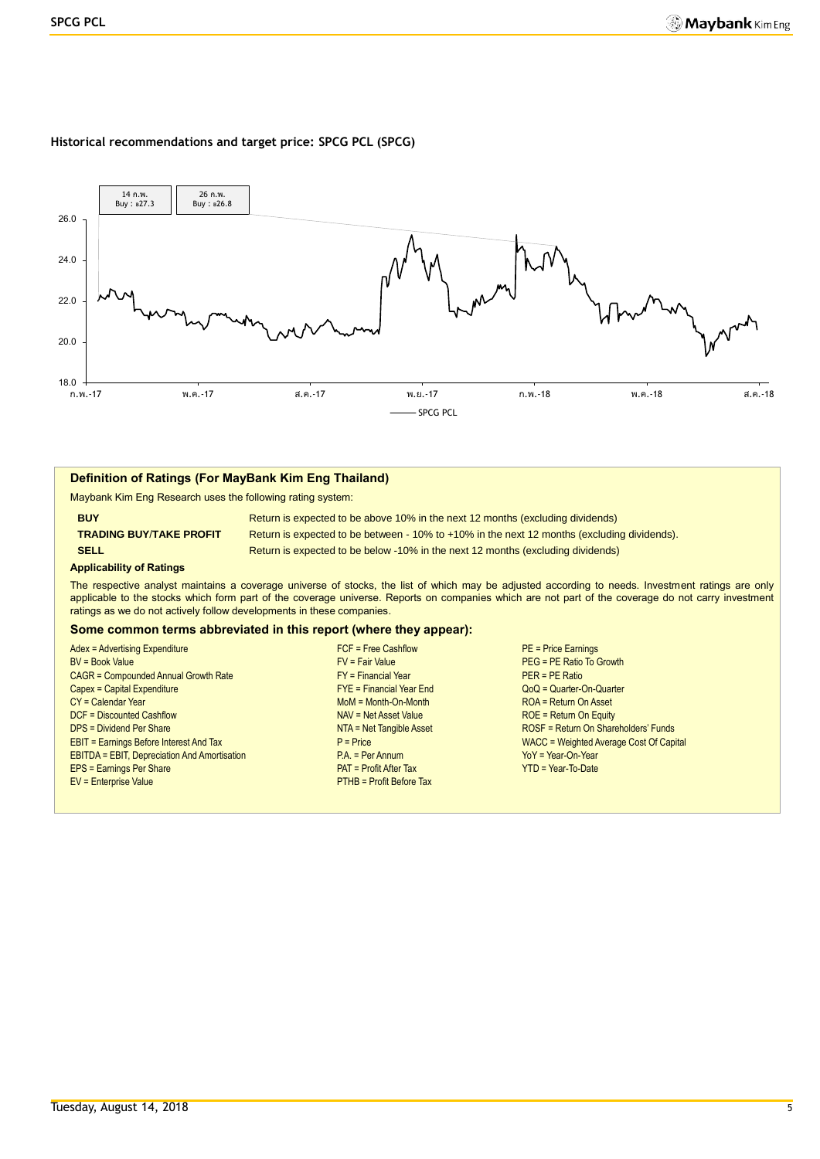#### **Historical recommendations and target price: SPCG PCL (SPCG)**



#### **Definition of Ratings (For MayBank Kim Eng Thailand)**

Maybank Kim Eng Research uses the following rating system:

**BUY Return is expected to be above 10% in the next 12 months (excluding dividends) TRADING BUY**/**TAKE PROFIT** Return is expected to be between - 10% to +10% in the next 12 months (excluding dividends). **SELL Return is expected to be below -10% in the next 12 months (excluding dividends)** 

#### **Applicability of Ratings**

The respective analyst maintains a coverage universe of stocks, the list of which may be adjusted according to needs. Investment ratings are only applicable to the stocks which form part of the coverage universe. Reports on companies which are not part of the coverage do not carry investment ratings as we do not actively follow developments in these companies.

#### **Some common terms abbreviated in this report (where they appear):**

| Adex = Advertising Expenditure                      |
|-----------------------------------------------------|
| <b>BV</b> = Book Value                              |
| CAGR = Compounded Annual Growth Rate                |
| Capex = Capital Expenditure                         |
| CY = Calendar Year                                  |
| DCF = Discounted Cashflow                           |
| <b>DPS = Dividend Per Share</b>                     |
| <b>EBIT = Earnings Before Interest And Tax</b>      |
| <b>EBITDA = EBIT, Depreciation And Amortisation</b> |
| EPS = Earnings Per Share                            |
| EV = Enterprise Value                               |

- FY = Financial Year<br>
Compounded Annual Year End
FYE = Financial Year End
FYE = Financial Year End
FYE = Financial Year End
FYE = Financial Year End
FYE = Financial Year End
FYE = Financial Year End
FYE = Financial Year End MoM = Month-On-Month ROA = Return On Asset NAV = Net Asset Value ROE = Return On Equity PAT = Profit After Tax YTD = Year-To-Date **PTHB = Profit Before Tax**
- Adex = Advertising Expenditure FCF = Free Cashflow PE = Price Earnings  $PEG = PE$  Ratio To Growth  $Q_0Q = Q$ uarter-On-Quarter NTA = Net Tangible Asset ROSF = Return On Shareholders' Funds P = Price<br>
P.A. = Per Annum<br>
P.A. = Per Annum<br>
Yo Y = Year-On-Year YoY = Year-On-Year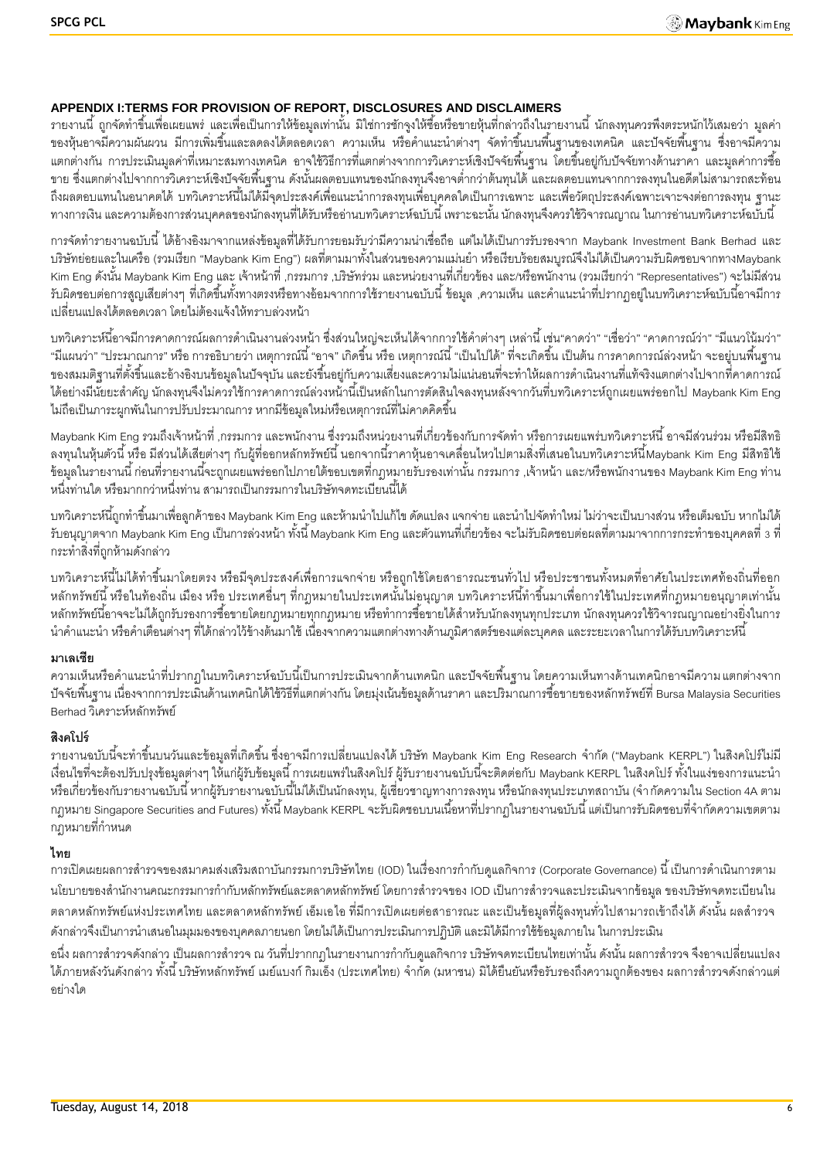## **APPENDIX I:TERMS FOR PROVISION OF REPORT, DISCLOSURES AND DISCLAIMERS**

้ รายงานนี้ ถูกจัดทำขึ้นเพื่อเผยแพร่ และเพื่อเป็นการให้ข้อมูลเท่านั้น มิใช่การชักจูงให้ซื้อหรือขายหุ้นที่กล่าวถึงในรายงานนี้ นักลงทุนควรพึงตระหนักไว้เสมอว่า มูลค่า ี ของหุ้นอาจมีความผันผวน มีการเพิ่มขึ้นและลดลงได้ตลอดเวลา ความเห็น หรือคำแนะนำต่างๆ จัดทำขึ้นบนพื้นฐานของเทคนิค และปัจจัยพื้นฐาน ซึ่งอาจมีความ ้ แตกต่างกัน การประเมินมูลค่าที่เหมาะสมทางเทคนิค อาจใช้วิธีการที่แตกต่างจากการวิเคราะห์เชิงปัจจัยพื้นฐาน โดยขึ้นอยู่กับปัจจัยทางด้านราคา และมูลค่าการซื้อ ่ ขาย ซึ่งแตกต่างไปจากการวิเคราะห์เชิงปัจจัยพื้นฐาน ดังนั้นผลตอบแทนของนักลงทุนจึงอาจต่ำกว่าต้นทุนได้ และผลตอบแทนจากการลงทุนในอดีตไม่สามารถสะท้อน ถึงผลตอบแทนในอนาคตได้ บทวิเคราะห์นี้ไม่ได้มีจุดประสงค์เพื่อแนะนำการลงทุนเพื่อบุคคลใดเป็นการเฉพาะ และเพื่อวัตถุประสงค์เฉพาะเจาะจงต่อการลงทุน ฐานะ ้ทางการเงิน และความต้องการส่วนบุคคลของนักลงทุนที่ได้รับหรืออ่านบทวิเคราะห์ฉบับนี้ เพราะฉะนั้น นักลงทุนจึงควรใช้วิจารณญาณ ในการอ่านบทวิเคราะห์ฉบับนี้

การจัดท ารายงานฉบับนี ้ได้อ้างอิงมาจากแหล่งข้อมูลที่ได้รับการยอมรับว่ามีความน่าเชื่อถือ แต่ไมได้เป็ นการรับรองจาก Maybank Investment Bank Berhad และ บริษัทย่อยและในเครือ (รวมเรียก "Maybank Kim Eng") ผลที่ตามมาทั้งในส่วนของความแม่นยำ หรือเรียบร้อยสมบูรณ์จึงไม่ได้เป็นความรับผิดชอบจากทางMaybank Kim Eng ดังนั้น Maybank Kim Eng และ เจ้าหน้าที่ ,กรรมการ ,บริษัทร่วม และหน่วยงานที่เกี่ยวข้อง และ/หรือพนักงาน (รวมเรียกว่า "Representatives") จะไม่มีส่วน ้ รับผิดชอบต่อการสูญเสียต่างๆ ที่เกิดขึ้นทั้งทางตรงหรือทางอ้อมจากการใช้รายงานฉบับนี้ ข้อมูล ,ความเห็น และคำแนะนำที่ปรากฦอยู่ในบทวิเคราะห์ฉบับนี้อาจมีการ เปลี่ยนแปลงได้ตลอดเวลา โดยไม่ต้องแจ้งให้ทราบล่วงหน้า

้บทวิเคราะห์นี้อาจมีการคาดการณ์ผลการดำเนินงานล่วงหน้า ซึ่งส่วนใหญ่จะเห็นได้จากการใช้คำต่างๆ เหล่านี้ เช่น"คาดว่า" "เชื่อว่า" "คาดการณ์ว่า" "มีแนวโน้มว่า" "มีแผนว่า" "ประมาณการ" หรือ การอธิบายว่า เหตุการณ์นี้ "อาจ" เกิดขึ้น หรือ เหตุการณ์นี้ "เป็นไปได้" ที่จะเกิดขึ้น เป็นต้น การคาดการณ์ล่วงหน้า จะอยู่บนพื้นฐาน ของสมมติฐานที่ตั้งขึ้นและอ้างอิงบนข้อมูลในปัจจุบัน และยังขึ้นอยู่กับความเสี่ยงและความไม่แน่นอนที่จะทำให้ผลการดำเนินงานที่แท้จริงแตกต่างไปจากที่คาดการณ์ ี ได้อย่างมีนัยยะสำคัญ นักลงทุนจึงไม่ควรใช้การคาดการณ์ล่วงหน้านี้เป็นหลักในการตัดสินใจลงทุนหลังจากวันที่บทวิเคราะห์ถูกเผยแพร่ออกไป Maybank Kim Eng ไม่ถือเป็นภาระผูกพันในการปรับประมาณการ หากมีข้อมูลใหม่หรือเหตุการณ์ที่ไม่คาดคิดขึ้น

. Maybank Kim Eng รวมถึงเจ้าหน้าที่ ,กรรมการ และพนักงาน ซึ่งรวมถึงหน่วยงานที่เกี่ยวข้องกับการจัดทำ หรือการเผยแพร่บทวิเคราะห์นี้ อาจมีส่วนร่วม หรือมีสิทธิ ิ ลงทุนในหุ้นตัวนี้ หรือ มีส่วนได้เสียต่างๆ กับผู้ที่ออกหลักทรัพย์นี้ นอกจากนี้ราคาหุ้นอาจเคลื่อนไหวไปตามสิ่งที่เสนอในบทวิเคราะห์นี้Maybank Kim Eng มีสิทธิใช้ -ข้อมูลในรายงานนี้ ก่อนที่รายงานนี้จะถูกเผยแพร่ออกไปภายใต้ขอบเขตที่กฎหมายรับรองเท่านั้น กรรมการ ,เจ้าหน้า และ/หรือพนักงานของ Maybank Kim Eng ท่าน หนึ่งท่านใด หรือมากกว่าหนึ่งท่าน สามารถเป็นกรรมการในบริษัทจดทะเบียนนี้ได้

ี บทวิเคราะห์นี้ถูกทำขึ้นมาเพื่อลูกค้าของ Maybank Kim Eng และห้ามนำไปแก้ไข ดัดแปลง แจกจ่าย และนำไปจัดทำใหม่ ไม่ว่าจะเป็นบางส่วน หรือเต็มฉบับ หากไม่ได้ รับอนุญาตจาก Maybank Kim Eng เป็นการล่วงหน้า ทั้งนี้ Maybank Kim Eng และตัวแทนที่เกี่ยวข้อง จะไม่รับผิดชอบต่อผลที่ตามมาจากการกระทำของบุคคลที่ 3 ที่ กระท าสิ่งที่ถูกห้ามดังกล่าว

บทวิเคราะห์นี้ไม่ได้ทำขึ้นมาโดยตรง หรือมีจุดประสงค์เพื่อการแจกจ่าย หรือถูกใช้โดยสาธารณะชนทั่วไป หรือประชาชนทั้งหมดที่อาศัยในประเทศท้องถิ่นที่ออก ่ หลักทรัพย์นี้ หรือในท้องถิ่น เมือง หรือ ประเทศอื่นๆ ที่กฎหมายในประเทศนั้นไม่อนุญาต บทวิเคราะห์นี้ทำขึ้นมาเพื่อการใช้ในประเทศที่กฎหมายอนุญาตเท่านั้น หลักทรัพย์นี้อาจจะไม่ได้ถูกรับรองการซื้อขายโดยกฎหมายทุกกฎหมาย หรือทำการซื้อขายได้สำหรับนักลงทุนทุกประเภท นักลงทนควรใช้วิจารณญาณอย่างยิ่งในการ นำคำแนะนำ หรือคำเตือนต่างๆ ที่ได้กล่าวไว้ข้างต้นมาใช้ เนื่องจากความแตกต่างทางด้านภูมิศาสตร์ของแต่ละบุคคล และระยะเวลาในการได้รับบทวิเคราะห์นี้

#### **มาเลเซีย**

้ ความเห็นหรือคำแนะนำที่ปรากฏในบทวิเคราะห์ฉบับนี้เป็นการประเมินจากด้านเทคนิก และปัจจัยพื้นฐาน โดยความเห็นทางด้านเทคนิกอาจมีความ แตกต่างจาก -ปัจจัยพื้นฐาน เนื่องจากการประเมินด้านเทคนิกได้ใช้วิธีที่แตกต่างกัน โดยมุ่งเน้นข้อมูลด้านราคา และปริมาณการซื้อขายของหลักทรัพย์ที่ Bursa Malaysia Securities Berhad วิเคราะห์หลักทรัพย์

#### **สิงคโปร์**

ิ รายงานฉบับนี้จะทำขึ้นบนวันและข้อมูลที่เกิดขึ้น ซึ่งอาจมีการเปลี่ยนแปลงได้ บริษัท Maybank Kim Eng Research จำกัด ("Maybank KERPL") ในสิงคโปร์ไม่มี เงื่อนไขที่จะต้องปรับปรุงข้อมูลต่างๆ ให้แก่ผู้รับข้อมูลนี้ การเผยแพร่ในสิงคโปร์ ผู้รับรายงานฉบับนี้จะติดต่อกับ Maybank KERPL ในสิงคโปร์ ทั้งในแง่ของการแนะนำ หรือเกี่ยวข้องกับรายงานฉบับนี้ หากผู้รับรายงานฉบับนี้ไม่ได้เป็นนักลงทุน, ผู้เชี่ยวชาญทางการลงทุน หรือนักลงทุนประเภทสถาบัน (จำกัดความใน Section 4A ตาม ึ กฎหมาย Singapore Securities and Futures) ทั้งนี้ Maybank KERPL จะรับผิดชอบบนเนื้อหาที่ปรากฏในรายงานฉบับนี้ แต่เป็นการรับผิดชอบที่จำกัดความเขตตาม ึ กฦหมายที่กำหนด

#### **ไทย**

การเปิดเผยผลการสำรวจของสมาคมส่งเสริมสถาบันกรรมการบริษัทไทย (IOD) ในเรื่องการกำกับดูแลกิจการ (Corporate Governance) นี้ เป็นการดำเนินการตาม นโยบายของสำนักงานคณะกรรมการกำกับหลักทรัพย์และตลาดหลักทรัพย์ โดยการสำรวจของ IOD เป็นการสำรวจและประเมินจากข้อมูล ของบริษัทจดทะเบียนใน ้ตลาดหลักทรัพย์แห่งประเทศไทย และตลาดหลักทรัพย์ เอ็มเอไอ ที่มีการเปิดเผยต่อสาธารณะ และเป็นข้อมูลที่ผู้ลงทุนทั่วไปสามารถเข้าถึงได้ ดังนั้น ผลสำรวจ ดังกล่าวจึงเป็นการนำเสนอในมุมมองของบุคคลภายนอก โดยไม่ได้เป็นการประเมินการปฏิบัติ และมิได้มีการใช้ข้อมูลภายใน ในการประเมิน

่ อนึ่ง ผลการสำรวจดังกล่าว เป็นผลการสำรวจ ณ วันที่ปรากกฎในรายงานการกำกับดูแลกิจการ บริษัทจดทะเบียนไทยเท่านั้น ดังนั้น ผลการสำรวจ จึงอาจเปลี่ยนแปลง ได้ภายหลังวันดังกล่าว ทั้งนี้ บริษัทหลักทรัพย์ เมย์แบงก์ กิมเอ็ง (ประเทศไทย) จำกัด (มหาชน) มิได้ยืนยันหรือรับรองถึงความถูกต้องของ ผลการสำรวจดังกล่าวแต่ อย่างใด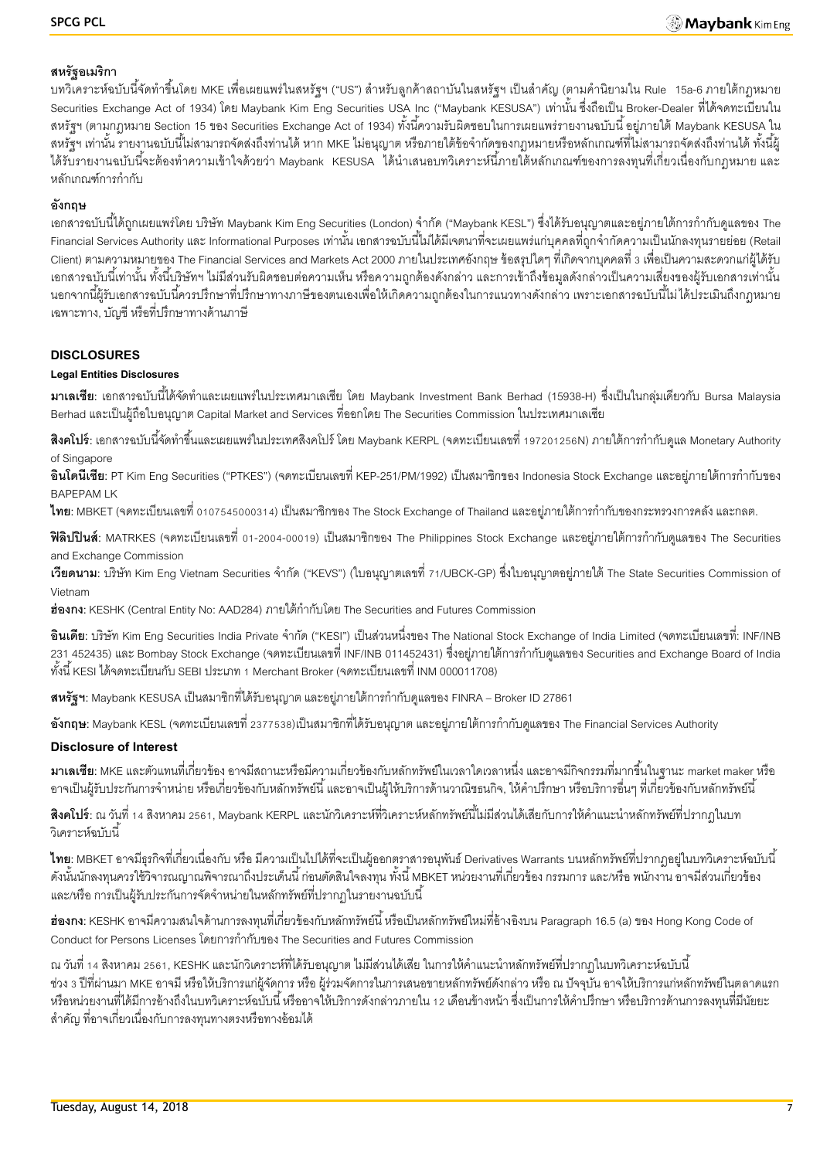### **สหรัฐอเมริกา**

ี บทวิเคราะห์ฉบับนี้จัดทำขึ้นโดย MKE เพื่อเผยแพร่ในสหรัฐฯ ("US") สำหรับลูกค้าสถาบันในสหรัฐฯ เป็นสำคัญ (ตามคำนิยามใน Rule 15a-6 ภายใต้กฎหมาย Securities Exchange Act of 1934) โดย Maybank Kim Eng Securities USA Inc ("Maybank KESUSA") เท่านั้น ซึ่งถือเป็น Broker-Dealer ที่ได้จดทะเบียนใน สหรัฐฯ (ตามกฎหมาย Section 15 ของ Securities Exchange Act of 1934) ทั้งนี้ความรับผิดชอบในการเผยแพร่รายงานฉบับนี้ อยู่ภายใต้ Maybank KESUSA ใน สหรัฐฯ เท่านั้น รายงานฉบับนี้ไม่สามารถจัดส่งถึงท่านได้ หาก MKE ไม่อนุญาต หรือภายใต้ข้อจำกัดของกฎหมายหรือหลักเกณฑ์ที่ไม่สามารถจัดส่งถึงท่านได้ ทั้งนี้ผู้ ได้รับรายงานฉบับนี้จะต้องทำความเข้าใจด้วยว่า Maybank KESUSA ได้นำเสนอบทวิเคราะห์นี้ภายใต้หลักเกณฑ์ของการลงทุนที่เกี่ยวเนื่องกับกฎหมาย และ หลักเกณฑ์การกำกับ

# **อังกฤษ**

ี เอกสารฉบับนี้ได้ถูกเผยแพร่โดย บริษัท Maybank Kim Eng Securities (London) จำกัด ("Maybank KESL") ซึ่งได้รับอนุญาตและอยู่ภายใต้การกำกับดูแลของ The -Financial Services Authority และ Informational Purposes เท่านั้น เอกสารฉบับนี้ไม่ได้มีเจตนาที่จะเผยแพร่แก่บุคคลที่ถูกจำกัดความเป็นนักลงทุนรายย่อย (Retail Client) ตามความหมายของ The Financial Services and Markets Act 2000 ภายในประเทศอังกฤษ ข้อสรุปใดๆ ที่เกิดจากบุคคลที่ 3 เพื่อเป็ นความสะดวกแก่ผู้ได้รับ ้เอกสารฉบับนี้เท่านั้น ทั้งนี้บริษัทฯ ไม่มีส่วนรับผิดชอบต่อความเห็น หรือความถูกต้องดังกล่าว และการเข้าถึงข้อมูลดังกล่าวเป็นความเสี่ยงของผู้รับเอกสารเท่านั้น ้นอกจากนี้ผ้รับเอกสารฉบับนี้ควรปรึกษาที่ปรึกษาทางภาษีของตนเองเพื่อให้เกิดความถูกต้องในการแนวทางดังกล่าว เพราะเอกสารฉบับนี้ไม่ได้ประเมินถึงกฎหมาย เฉพาะทาง, บัญชี หรือที่ปรึกษาทางด้านภาษี

#### **DISCLOSURES**

#### **Legal Entities Disclosures**

**ิมาเลเซีย**: เอกสารฉบับนี้ได้จัดทำและเผยแพร่ในประเทศมาเลเซีย โดย Maybank Investment Bank Berhad (15938-H) ซึ่งเป็นในกลุ่มเดียวกับ Bursa Malaysia Berhad และเป็ นผู้ถือใบอนุญาต Capital Market and Services ที่ออกโดย The Securities Commission ในประเทศมาเลเซีย

**ี <b>สิงคโปร์**: เอกสารฉบับนี้จัดทำขึ้นและเผยแพร่ในประเทศสิงคโปร์ โดย Maybank KERPL (จดทะเบียนเลขที่ 197201256N) ภายใต้การกำกับดูแล Monetary Authority of Singapore

**้อินโดนีเซีย**: PT Kim Eng Securities ("PTKES") (จดทะเบียนเลขที่ KEP-251/PM/1992) เป็นสมาชิกของ Indonesia Stock Exchange และอย่ภายใต้การกำกับของ BAPEPAM LK

**ไทย**: MBKET (จดทะเบียนเลขที่ 0107545000314) เป็นสมาชิกของ The Stock Exchange of Thailand และอยู่ภายใต้การกำกับของกระทรวงการคลัง และกลต.

**ฟิลิปปินส์**: MATRKES (จดทะเบียนเลขที่ 01-2004-00019) เป็นสมาชิกของ The Philippines Stock Exchange และอยู่ภายใต้การกำกับดูแลของ The Securities and Exchange Commission

**เวียดนาม**: บริษัท Kim Eng Vietnam Securities จำกัด ("KEVS") (ใบอนุญาตเลขที่ 71/UBCK-GP) ซึ่งใบอนุญาตอยู่ภายใต้ The State Securities Commission of Vietnam

ี**ฮ่องกง**: KESHK (Central Entity No: AAD284) ภายใต้กำกับโดย The Securities and Futures Commission

**้อินเดีย**: บริษัท Kim Eng Securities India Private จำกัด ("KESI") เป็นส่วนหนึ่งของ The National Stock Exchange of India Limited (จดทะเบียนเลขที่: INF/INB ่ 231 452435) และ Bombay Stock Exchange (จดทะเบียนเลขที่ INF/INB 011452431) ซึ่งอยู่ภายใต้การกำกับดูแลของ Securities and Exchange Board of India ทั ้งนี ้ KESI ได้จดทะเบียนกับ SEBI ประเภท 1 Merchant Broker (จดทะเบียนเลขที่ INM 000011708)

**ิสหรัฐฯ:** Maybank KESUSA เป็นสมาชิกที่ได้รับอนุญาต และอยู่ภายใต้การกำกับดูแลของ FINRA – Broker ID 27861

**อังกฤษ**: Maybank KESL (จดทะเบียนเลขที่ 2377538)เป็นสมาชิกที่ได้รับอนุญาต และอยู่ภายใต้การกำกับดูแลของ The Financial Services Authority

#### **Disclosure of Interest**

**มาเลเซีย:** MKE และตัวแทนที่เกี่ยวข้อง อาจมีสถานะหรือมีความเกี่ยวข้องกับหลักทรัพย์ในเวลาใดเวลาหนึ่ง และอาจมีกิจกรรมที่มากขึ ้นในฐานะ market maker หรือ ่ อาจเป็นผู้รับประกันการจำหน่าย หรือเกี่ยวข้องกับหลักทรัพย์นี้ และอาจเป็นผู้ให้บริการด้านวาณิชธนกิจ, ให้คำปรึกษา หรือบริการอื่นๆ ที่เกี่ยวข้องกับหลักทรัพย์นี้

**ี <b>สิงคโปร์**: ณ วันที่ 14 สิงหาคม 2561, Maybank KERPL และนักวิเคราะห์ที่วิเคราะห์หลักทรัพย์นี้ไม่มีส่วนได้เสียกับการให้คำแนะนำหลักทรัพย์ที่ปรากฏในบท .<br>วิเคราะห์ล<sub>บับ</sub>นี้

**ไทย**: MBKET อาจมีธุรกิจที่เกี่ยวเนื่องกับ หรือ มีความเป็นไปได้ที่จะเป็นผู้ออกตราสารอนุพันธ์ Derivatives Warrants บนหลักทรัพย์ที่ปรากฏอยู่ในบทวิเคราะห์ฉบับนี้ ดังนั้นนักลงทุนควรใช้วิจารณญาณพิจารณาถึงประเด็นนี้ ก่อนตัดสินใจลงทุน ทั้งนี้ MBKET หน่วยงานที่เกี่ยวข้อง กรรมการ และ/หรือ พนักงาน อาจมีส่วนเกี่ยวข้อง และ/หรือ การเป็นผู้รับประกันการจัดจำหน่ายในหลักทรัพย์ที่ปรากฏในรายงานฉบับนี้

**ฮ่องกง:** KESHK อาจมีความสนใจด้านการลงทุนที่เกี่ยวข้องกับหลักทรัพย์นี้ หรือเป็นหลักทรัพย์ใหม่ที่อ้างอิงบน Paragraph 16.5 (a) ของ Hong Kong Code of Conduct for Persons Licenses โดยการกำกับของ The Securities and Futures Commission

ณ วันที่ 14 สิงหาคม 2561, KESHK และนักวิเคราะห์ที่ได้รับอนุญาต ไม่มีส่วนได้เสีย ในการให้คำแนะนำหลักทรัพย์ที่ปรากฏในบทวิเคราะห์ฉบับนี้ ี ช่วง 3 ปีที่ผ่านมา MKE อาจมี หรือให้บริการแก่ผู้จัดการ หรือ ผู้ร่วมจัดการในการเสนอขายหลักทรัพย์ดังกล่าว หรือ ณ ปัจจุบัน อาจให้บริการแก่หลักทรัพย์ในตลาดแรก หรือหน่วยงานที่ได้มีการอ้างถึงในบทวิเคราะห์ฉบับนี้ หรืออาจให้บริการดังกล่าวภายใน 12 เดือนข้างหน้า ซึ่งเป็นการให้คำปรึกษา หรือบริการด้านการลงทุนที่มีนัยยะ ส าคัญ ที่อาจเกี่ยวเนื่องกับการลงทุนทางตรงหรือทางอ้อมได้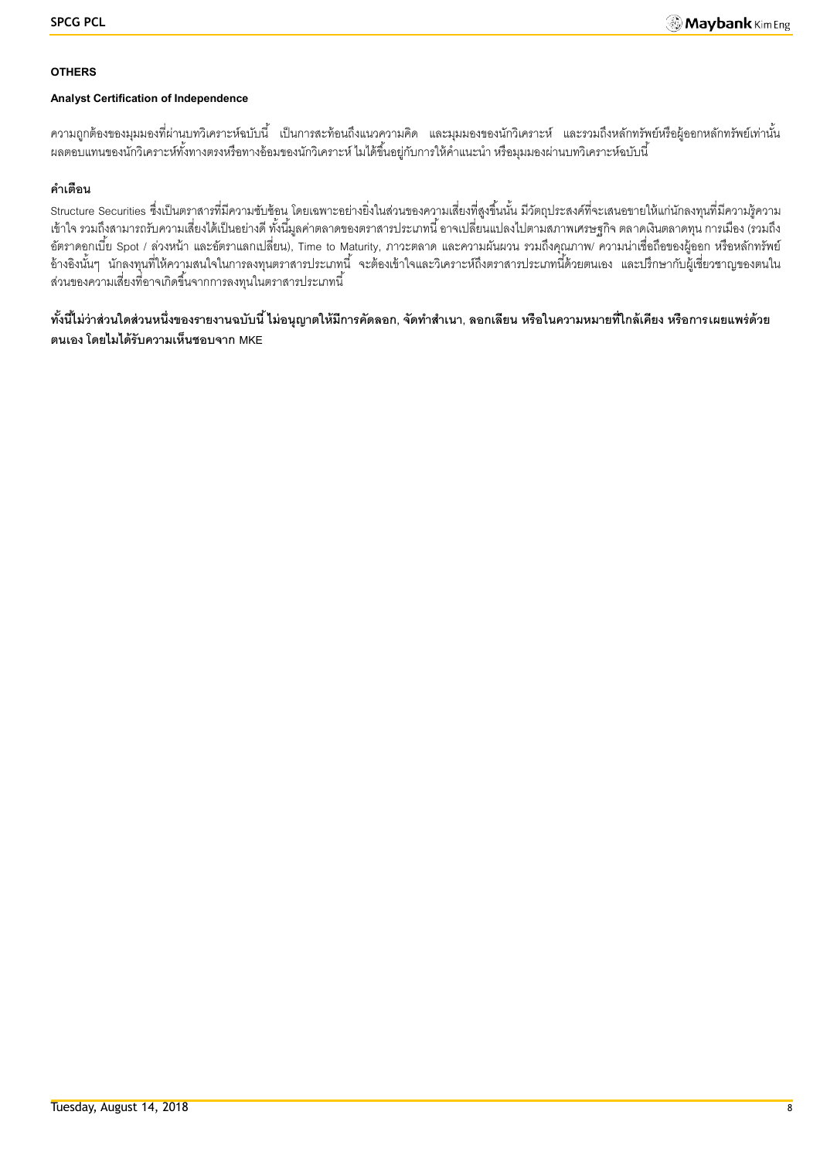#### **OTHERS**

#### **Analyst Certification of Independence**

้ ความถูกต้องของมุมมองที่ผ่านบทวิเคราะห์ฉบับนี้ เป็นการสะท้อนถึงแนวความคิด และมุมมองของนักวิเคราะห์ และรวมถึงหลักทรัพย์หรือผู้ออกหลักทรัพย์เท่านั้น ้ ผลตอบแทนของนักวิเคราะห์ทั้งทางตรงหรือทางอ้อมของนักวิเคราะห์ ไมได้ขึ้นอยู่กับการให้คำแนะนำ หรือมุมมองผ่านบทวิเคราะห์ฉบับนี้

## **ค าเตือน**

Structure Securities ซึ่งเป็นตราสารที่มีความซับซ้อน โดยเฉพาะอย่างยิ่งในส่วนของความเสี่ยงที่สูงขึ้นนั้น มีวัตถุประสงค์ที่จะเสนอขายให้แก่นักลงทุนที่มีความรู้ความ เข้าใจ รวมถึงสามารถรับความเสี่ยงได้เป็ นอย่างดี ทั ้งนี ้มูลค่าตลาดของตราสารประเภทนี ้ อาจเปลี่ยนแปลงไปตามสภาพเศรษฐกิจ ตลาดเงินตลาดทุน การเมือง (รวมถึง อัตราดอกเบี้ย Spot / ล่วงหน้า และอัตราแลกเปลี่ยน), Time to Maturity, ภาวะตลาด และความผันผวน รวมถึงคุณภาพ/ ความน่าเชื่อถือของผู้ออก หรือหลักทรัพย์ อ้างอิงนั้นๆ นักลงทุนที่ให้ความสนใจในการลงทุนตราสารประเภทนี้ จะต้องเข้าใจและวิเคราะห์ถึงตราสารประเภทนี้ด้วยตนเอง และปรึกษากับผู้เชี่ยวชาญของตนใน ส่วนของความเสี่ยงที่อาจเกิดขึ้นจากการลงทุนในตราสารประเภทนี้

์ ทั้งนี้ไม่ว่าส่วนใดส่วนหนึ่งของรายงานฉบับนี้ ไม่อนุญาตให้มีการคัดลอก, จัดทำสำเนา, ลอกเลียน หรือในความหมายที่ใกล้เคียง หรือการเผยแพร่ด้วย **ตนเอง โดยไมได้รับความเห็นชอบจาก MKE**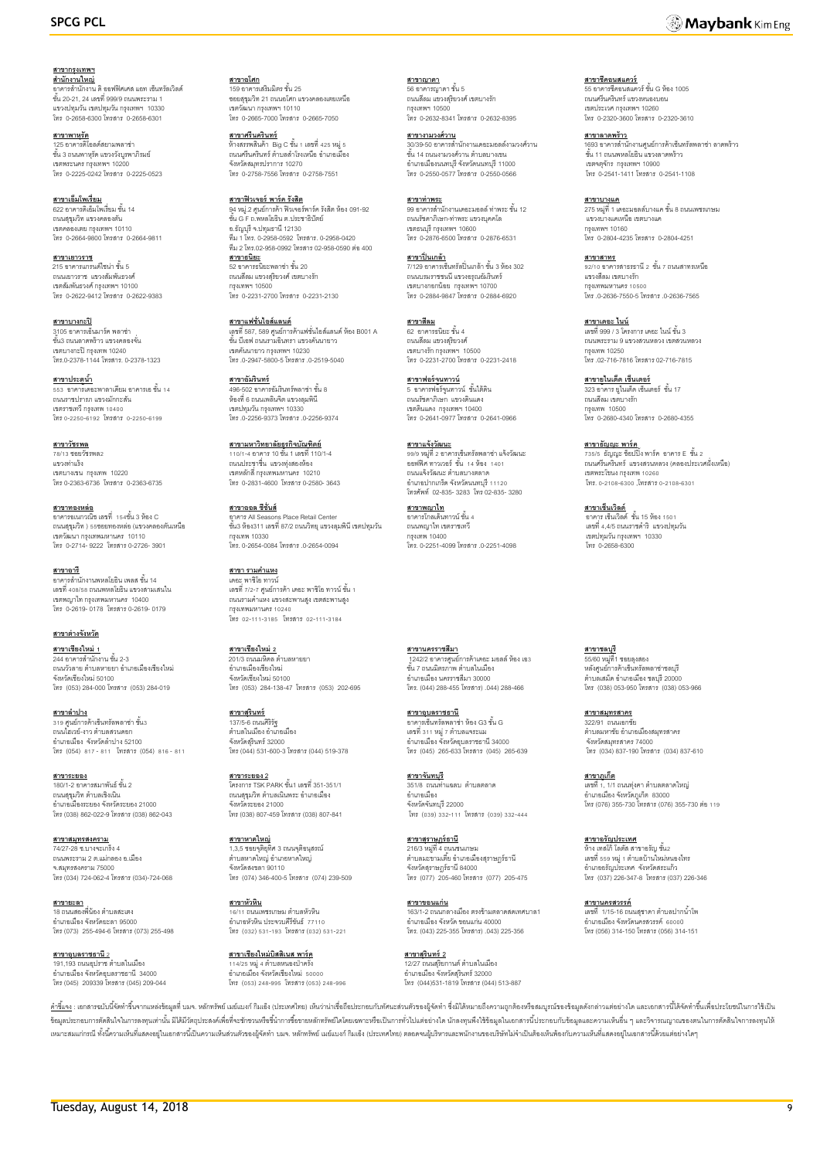#### **สาขากรุงเทพฯ** ี<u>สำ**นักงานใหญ่**<br>อาคารสำนักงาน ดิ ออฟฟิศเศส แอท เซ็นทรัลเวิลด์</u><br>ชั้น 20-21, 24 เลขที่ 999/9 ถนนพระราม 1 แขวงปทุมวัน เขตปทุมวัน กรุงเทพฯ 10330 โทร 0-2658-6300 โทรสาร 0-2658-6301

**สาขาพาหุรัด** 125 อาคารดิโอลด์สยามพลาซ่า<br>ชั้น 3 ถนนพาหุรัด แขวงวังบูรพาภิรมย์ เขตพระนคร กรุงเทพฯ 10200 โทร 0-2225-0242 โทรสาร 0-2225-0523

**สาขาเอ็มโพเรี่ยม**<br>622 อาคารดิเอ็มโพเรี่ยม ชั้น 14 ถนนสุขุมวิท แขวงคลองตัน เขตคลองเตย กรุงเทพฯ 10110 โทร 0-2664-9800 โทรสาร 0-2664-9811

<mark>สาขาเยาวราช</mark><br>215 อาคารแกรนด์ไซน่า ชั้น 5 ถนนเยาวราช แขวงสัมพันธวงศ์ เขตสัมพันธวงศ์ กรุงเทพฯ 10100 โทร 0-2622-9412 โทรสาร 0-2622-9383

**สาขาบางกะปิ** 3105 อาคารเอ็นมาร์ค พลาซ่า ชั ้น3 ถนนลาดพร้าว แขวงคลองจั่น เขตบางกะปิกรุงเทพ 10240 โทร.0-2378-1144 โทรสาร. 0-2378-1323

**สาขาประตูน้ำ** —<br>เดอะพาลาเดียม อาคารเอ ชั้น 14 ้ธรร ชาย เนตชนพาลาเดนม ชา<br>ถนนราชปรารภ แขวงมักกะสัน เขตราชเทวี กรุงเทพ 10400 โทร0-2250-6192 โทรสาร 0-2250-6199

**สาขาวัชรพล** 78/13 ซอยวัชรพล2 แขวงท่าแร้ง เขตบางเขน กรุงเทพ 10220 โทร 0-2363-6736 โทรสาร 0-2363-6735

**สาขาทองหล่อ** อาคารอเนกวณิช เลขที่ 154ชั ้น 3 ห้อง C ถนนสุขุมวิท ) 55ซอยทองหล่อ (แขวงคลองตันเหนือ เขตวัฒนา กรุงเทพมหานคร 10110 โทร 0-2714- 9222 โทรสาร 0-2726- 3901

**สาขาอารี** อาคารลำนักงานพหลโยธิน เพลส ชั้น 14<br>เลขที่ 408/58 ถนนพหลโยธิน แขวงสามเสนใน เขตพญาไท กรุงเทพมหานคร 10400 โทร 0-2619- 0178 โทรสาร 0-2619- 0179

**สาขาต่างจังหวัด**

**สาขาเชียงใหม่ 1** 244 อาคารสำนักงาน ชั้น 2-3 ้<br>ถนนวัวลาย ตำบลหายยา อำเภอเมืองเชียงใหม่ จังหวัดเชียงใหม่ 50100 โทร (053) 284-000 โทรสาร (053) 284-019

**สาขาลำปาง** 319 <mark>ศูนย์การ</mark>ค้าเซ็นทรัลพลาซ่า ชั้น3 ถนนไฮเวย์-งาว ตำบลสวนดอก อำเภอเมือง จังหวัดลำปาง 52100 โทร (054) 817- 811 โทรสาร (054) 816- 811

**สาขาระยอง** 180/1-2 อาคารสมาพันธ์ ชั้น 2 ถนนสุขุมวิท ตำบลเชิงเนิน อ าเภอเมืองระยอง จังหวัดระยอง 21000 โทร (038) 862-022-9 โทรสาร (038) 862-043

**สาขาสมุทรสงคราม** 74/27-28 ซ.บางจะเกร็ง 4 ถนนพระราม 2 ต.แม่กลอง อ.เมือง จ.สมุทรสงคราม 75000 โทร (034) 724-062-4 โทรสาร (034)-724-068

**สาขายะลา**<br>18 ถนนสองพี่น้อง ตำบลสะเตง อ าเภอเมือง จังหวัดยะลา 95000 โทร (073) 255-494-6 โทรสาร (073) 255-498

**สาขาอบลราชธานี** 2 191,193 ถนนอุปราช ตำบลในเมือง<br>อำเภอเมือง จังหวัดอุบลราชธานี 34000 โทร (045) 209339 โทรสาร (045) 209-044

**สาขาอโศก**<br>159 อาคารเสริมมิตร ชั้น 25 ซอยสุขุมวิท 21 ถนนอโศก แขวงคลองเตยเหนือ เขตวัฒนา กรุงเทพฯ 10110 โทร 0-2665-7000 โทรสาร 0-2665-7050

**สาขาศรีนครินทร์** ห้างสรรพสินค้า Big C ชั้น 1 เลขที่ 425 หมู่ 5<br>ถนนศรีนครินทร์ ตำบลลำโรงเหนือ อำเภอเมือง จังหวัดสมุทรปราการ 10270 โทร 0-2758-7556 โทรสาร 0-2758-7551

**สาขาฟิวเจอร์ พาร์ค รังสิต**<br>94 หมู่.2 ศูนย์การค้า ฟิวเจอร์พาร์ค รังสิต ห้อง 091-92<br>ชั้น G F ถ.พหลโยธิน ต.ประชาธิปัตย์ อ.ธัญบุรีจ.ปทุมธานี 12130 ทีม 1 โทร. 0-2958-0592 โทรสาร. 0-2958-0420 ทีม 2 โทร.02-958-0992 โทรสาร 02-958-0590 ต่อ400 **สาขาธนิยะ**<br>52 อาคารธนิยะพลาซ่า ชั้น 20 ถนนสีลม แขวงสุริยวงศ์ เขตบางรัก กรุงเทพฯ 10500

**สาขาแฟชั่นไอส์แลนด์** เลขที่ 587, 589 ศูนย์การค้าแฟชั่นไอส์แลนด์ ห้อง B001 A<br>ชั้น บีเอฟ ถนนรามอินทรา แขวงคันนายาว เขตคันนายาว กรุงเทพฯ 10230 โทร .0-2947-5800-5 โทรสาร .0-2519-5040

โทร 0-2231-2700 โทรสาร 0-2231-2130

**สาขาอัมรินทร์** 496-502 อาคารอัมรินทร์พลาซ่า ชั้น 8<br>ห้องที่ 6 ถนนเพลินจิต แขวงลุมพินี เขตปทุมวัน กรุงเทพฯ 10330 โทร .0-2256-9373 โทรสาร .0-2256-9374

**สาขามหาวิทยาลัยธุรกิจบัณฑิตย์** 110/1-4 อาคาร 10 ชั ้น 1 เลขที่ 110/1-4 ถนนประชาชื่น แขวงทุ่งสองห้อง เขตหลักสี่ กรุงเทพมหานคร 10210 โทร 0-2831-4600 โทรสาร 0-2580- 3643

**สาขาออล ซีซั่นส์** อาคาร All Seasons Place Retail Center ชั ้น3 ห้อง311 เลขที่87/2 ถนนวิทยุแขวงลุมพินีเขตปทุมวัน กรุงเทพ 10330 โทร. 0-2654-0084 โทรสาร .0-2654-0094

**สาขา รามค าแหง** เดอะ พาซิโอ ทาวน์ เลขที่ 7/2-7 ศูนย์การค้า เดอะ พาซิโอ ทาวน์ ชั้น 1<br>ถนนรามคำแหง แขวงสะพานสูง เขตสะพานสูง กรุงเทพมหานคร 10240 โทร 02-111-3185 โทรสาร 02-111-3184

**สาขาเชียงใหม่ 2** 201/3 ถนนมหิดล ตำบลหายยา อ าเภอเมืองเชียงใหม่ จังหวัดเชียงใหม่ 50100 โทร (053) 284-138-47 โทรสาร (053) 202-695

**สาขาสุรินทร์** 137/5-6 ถนนศิริรัฐ<br>ตำบลในเมือง อำเภอเมือง จังหวัดสุรินทร์ 32000 โทร (044) 531-600-3 โทรสาร (044) 519-378

**สาขาระยอง 2** โครงการ TSK PARK ชั ้น1 เลขที่ 351-351/1 ถนนสุขุมวิท ตำบลเนินพระ อำเภอเมือง<br>จังหวัดระยอง 21000 โทร (038) 807-459 โทรสาร (038) 807-841

**สาขาหาดใหญ่**  1,3,5 ซอยจุติอุทิศ 3 ถนนจุติอนุสรณ์<br>ตำบลหาดใหญ่ อำเภอหาดใหญ่ จังหวัดสงขลา 90110 โทร (074) 346-400-5 โทรสาร (074) 239-509

**สาขาหัวหิน** <u>-12 กรรกะ</u><br>6/11 ถนนเพชรเกษม ตำบลหัวหิน อ าเภอหัวหิน ประจวบคีรีขันธ์ 77110 โทร (032) 531-193 โทรสาร (032) 531-221

**สาขาเชียงใหม่บิสสิเนส พาร์ค** 114/25 หมู่ 4 ตำบลหนองป่าครั่ง<br>อำเภอเมือง จังหวัดเชียงใหม่ 50000 โทร (053) 248-995 โทรสาร (053) 248-996

<mark>สาขาญาดา</mark><br>56 อาคารญาดา ชั้น 5 ถนนสีลม แขวงสุริยวงศ์ เขตบางรัก กรุงเทพฯ 10500 โทร 0-2632-8341 โทรสาร 0-2632-8395

**สาขางามวงศ์วาน** 30/39-50 อาคารสำนักงานเดอะมอลล์งามวงศ์วาน<br>ขั้น 14 ถนนงามวงศ์วาน ตำบลบางเขน อ าเภอเมืองนนทบุรี จังหวัดนนทบุรี 11000 โทร 0-2550-0577 โทรสาร 0-2550-0566

**สาขาท่าพระ**<br>99 อาคารลำนักงานเดอะมอลล์ ท่าพระ ชั้น 12 ถนนรัชดาภิเษก-ท่าพระ แขวงบุคคโล เขตธนบุรี กรุงเทพฯ 10600 โทร 0-2876-6500 โทรสาร 0-2876-6531

**สาขาปิ่ นเกล้า** ี่<mark>น 1.5 1.5 แถน 1.</mark><br>7/129 อาคารเซ็นทรัลปิ่นเกล้า ชั้น 3 ห้อง 302 ถนนบรมราชชนนี แขวงอรุณอัมรินทร์ เขตบางกอกน้อย กรุงเทพฯ 10700 โทร 0-2884-9847 โทรสาร 0-2884-6920

**สาขาสีลม** 62 อาคารธนิยะ ชั ้น 4 ถนนสีลม แขวงสุริยวงศ์ เขตบางรัก กรุงเทพฯ 10500 โทร 0-2231-2700 โทรสาร 0-2231-2418

**สาขาฟอร์จนู ทาวน์** 5 อาคารฟอร์จูนทาวน์ ชั้นใต้ดิน<br>ถนนรัชดาภิเษก แขวงดินแดง เขตดินแดง กรุงเทพฯ 10400 โทร 0-2641-0977 โทรสาร 0-2641-0966

**สาขาแจ้งวัฒนะ** 99/9 หมู่ที่2อาคารเซ็นทรัลพลาซ่า แจ้งวัฒนะ ออฟฟิศ ทาวเวอร์ ชั้น 14 ห้อง 1401 ถนนแจ้งวัฒนะ ตำบลบางตลาด อ าเภอปากเกร็ด จังหวัดนนทบุรี 11120 โทรศัพท์ 02-835- 3283 โทร 02-835- 3280

**สาขาพญาไท** \_\_\_\_\_\_\_\_\_\_\_\_\_\_<br>ดาคารโกลเด้นทาวน์ ชั้น 4 ถนนพญาไท เขตราชเทวี กรุงเทพ 10400 โทร. 0-2251-4099 โทรสาร .0-2251-4098

**สาขานครราชสีมา** ี 1242/2 อาคารศูนย์การค้าเดอะ มอลล์ ห้อง เอ3<br>ชั้น 7 ถนนมิตรภาพ ตำบลในเมือง อ าเภอเมือง นครราชสีมา 30000 โทร. (044) 288-455 โทรสาร) .044) 288-466

**สาขาอุบลราชธานี** อาคารเซ็นทรัลพลาซ่า ห้อง G3 ชั ้น G ี่ เลขที่ 311 หมู่ 7 ตำบลแจระแม อ าเภอเมือง จังหวัดอุบลราชธานี 34000 โทร (045) 265-633 โทรสาร (045) 265-639

**สาขาจันทบุรี** 351/8 ถนนท่าแฉลบ ตำบลตลาด อ าเภอเมือง จังหวัดจันทบุรี 22000 โทร (039) 332-111 โทรสาร (039) 332-444

**สาขาสุราษฏร์ธานี** 216/3 หมู่ที่ 4 ถนนชนเกษม<br>ตำบลมะขามเตี๋ย อำเภอเมืองสุราษฎร์ธานี จังหวัดสราษภร์ธานี 84000 โทร (077) 205-460 โทรสาร (077) 205-475

**สาขาขอนแก่น** 163/1-2 ถนนกลางเมือง ตรงข้ามตลาดสดเทศบาล1 อ าเภอเมืองจังหวัด ขอนแก่น 40000 โทร. (043) 225-355 โทรสาร) .043) 225-356

**สาขาสุรินทร์ 2** 12/27 ถนนสุริยกานต์ ตำบลในเมือง<br>อำเภอเมือง จังหวัดสุรินทร์ 32000 โทร (044)531-1819 โทรสาร (044) 513-887

**สาขาชีคอนสแควร์**<br>55 อาคารซีคอนสแควร์ ชั้น G ห้อง 1005<br>ถนนศรีนครินทร์ แขวงหนองบอน เขตประเวศ กรุงเทพฯ 10260 โทร 0-2320-3600 โทรสาร 0-2320-3610

**สาขาลาดพร้าว** 1693 อาคารลำนักงานศูนย์การค้าเซ็นทรัลพลาซ่า ลาดพร้าว<br>ขั้น 11 ถนนพหลโยธิน แขวงลาดพร้าว เขตจตุจักร กรุงเทพฯ 10900 โทร 0-2541-1411 โทรสาร 0-2541-1108

**สาขาบางแค**<br>275 หมู่ที่ 1 เดอะมอลล์บางแค ชั้น 8 ถนนเพชรเกษม แขวงบางแคเหนือ เขตบางแค กรุงเทพฯ 10160 โทร 0-2804-4235 โทรสาร 0-2804-4251

**สาขาสาทร** <u>ี่มายามากะ</u><br>92/10 อาคารสาธรธานี 2 ชั้น 7 ถนนสาทรเหนือ แขวงสีลม เขตบางรัก กรุงเทพมหานคร 10500 โทร .0-2636-7550-5 โทรสาร .0-2636-7565

**สาขาเดอะ ไนน์** เลขที่ 999 / 3 โครงการ เดอะ ไนน์ ชั้น 3 ถนนพระราม 9 แขวงสวนหลวง เขตสวนหลวง กรุงเทพ 10250 โทร .02-716-7816 โทรสาร 02-716-7815

**สาขายูไนเต็ด เซ็นเตอร์** 323 อาคาร ยูไนเต็ด เซ็นเตอร์ ชั้น 17<br>ถนนสีลม เขตบางรัก กรุงเทพ 10500 โทร 0-2680-4340 โทรสาร 0-2680-4355

**สาขาธัญญ<u>ะ พาร์ค</u>**<br>735/5 ธัญญะ ช็อปปิ้ง พาร์ค อาคาร E ชั้น 2 ถนนศรีนครินทร์ แขวงสวนหลวง (คลองประเวศฝั่งเหนือ) เขตพระโขนง กรุงเทพ 10260 โทร. 0-2108-6300 ,โทรสาร 0-2108-6301

ี<u>สาขาเซ็นเวิลด์</u><br>อาคาร เซ็นเวิลด์ ชั้น 15 ห้อง 1501 เลขที่ 4,4/5 ถนนราชด าริ แขวงปทุมวัน เขตปทุมวัน กรุงเทพฯ 10330 โทร 0-2658-6300

**สาขาชลบุรี**  55/60 หมู่ที่1 ซอยลุงสอง หลังศูนย์การค้าเซ็นทรัลพลาซ่าชลบุรี ตำบลเสม็ด อำเภอเมือง ชลบุรี 20000 โทร (038) 053-950 โทรสาร (038) 053-966

**สาขาสมุทรสาคร** 322/91 ถนนเอกชัย<br>ตำบลมหาชัย อำเภอเมืองสมุทรสาคร จังหวัดสมุทรสาคร 74000 โทร (034) 837-190 โทรสาร (034) 837-610

**สาขาภูเก็ต** ี เลขที่ 1, 1/1 ถนนท่งคา ตำบลตลาดใหญ่ อำเภอเมือง จังหวัดภูเก็ต 83000<br>โทร (076) 355-730 โทรสาร (076) 355-730 ต่อ 119

**สาขาอรัญประเทศ** ห้าง เทสโก้ โลตัส สาขาอรัญ ชั้น2<br>เลขที่ 559 หมู่ 1 ตำบลบ้านใหม่หนองไทร อ าเภออรัญประเทศ จังหวัดสระแก้ว โทร (037) 226-347-8 โทรสาร (037) 226-346

**สาขานครสวรรค์**<br>เลขที่ 1/15-16 ถนนสุชาดา ตำบลปากน้ำโท อ าเภอเมือง จังหวัดนครสวรรค์ 60000 โทร (056) 314-150 โทรสาร (056) 314-151

<u>คำขึ้แจ</u>ง : เอกสารณับนี้จัดทำขึ้นจากแหล่งข้อมูลที่ บมจ. หลักทรัพย์ แข่แมกก์ กิแอ็ง (ประเทศไทย) เห็นว่าน่าเชื่อถือประกอบกับทัศนะส่วมตัวของผู้จัดทำ ซึ่งมิได้หมายถึงความถูกต้องหรือสมบูรณ์ของข้อมูลดังกล่าวแต่อย่างใด และเอกสา ข้อมูลประกอบการตัดสินใจในการลงทุนท่านั้น มิได้มีวัตถุประสงค์เพื่อที่จะขักชามที่ขอข้าการซื้อขายหลักทัพย์ไดโดยเฉพาะเรือเป็นการทั่วไปแต่อย่างใด นักลงทุนพึงใช้ข้อมูลในเอกสารนี้ประกอบกับข้อมูลและความเห็นอื่น ๆ และวิจารณญาณของต เหมาะสมแก่กรณีทั้งนี้ความเห็นที่แสดงอยในเอกสารนี้เป็นความเห็นส่วนคิวของรู้จัดทำ บมจ. หลักทัพย์ แย่แบงก์ กินเอ้ง (ประเทศไทย) ตลอดจนผู้บริหาและพนักงานของบริษัทไม่จำเป็นต้องกันพ้องกับความเห็นที่แสดงอยู่ในเอกสารนี้ค้วยแต่อย่าง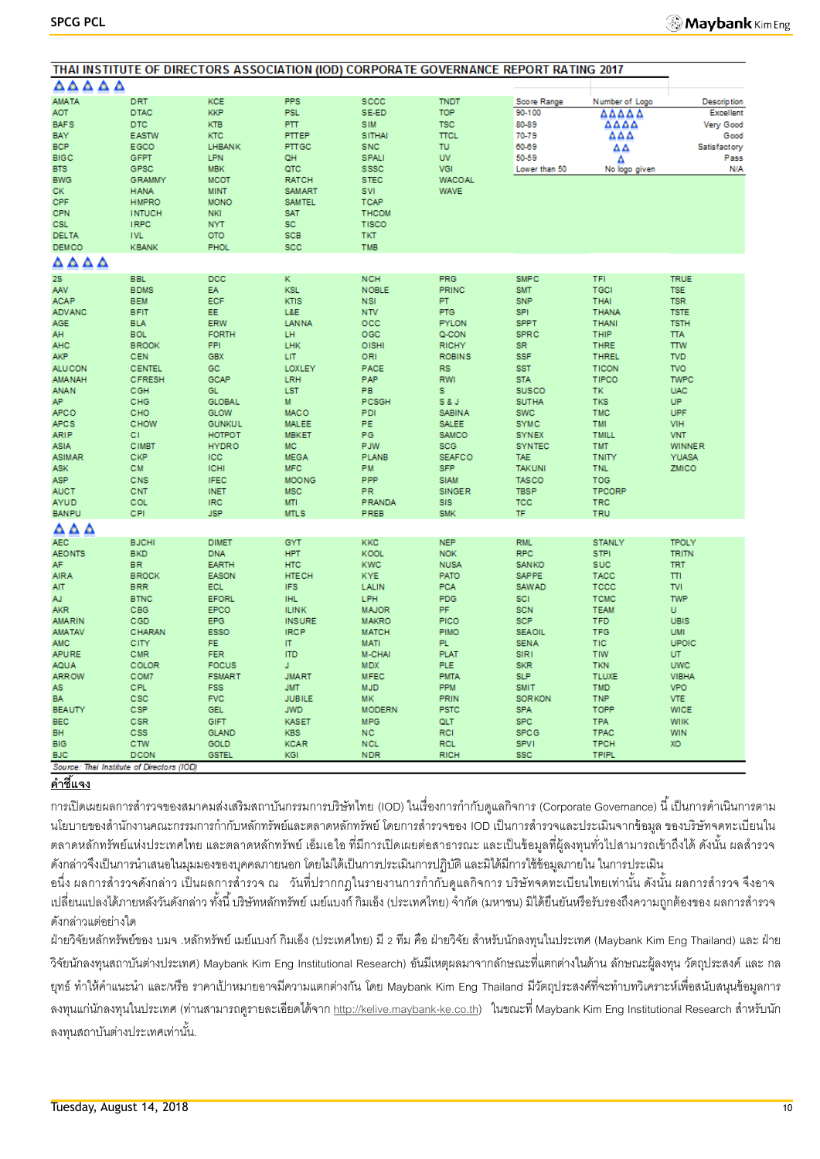|                                           | THAI INSTITUTE OF DIRECTORS ASSOCIATION (IOD) CORPORATE GOVERNANCE REPORT RATING 2017 |               |               |               |               |                  |                |                    |
|-------------------------------------------|---------------------------------------------------------------------------------------|---------------|---------------|---------------|---------------|------------------|----------------|--------------------|
| AAAAA                                     |                                                                                       |               |               |               |               |                  |                |                    |
| <b>AMATA</b>                              | <b>DRT</b>                                                                            | <b>KCE</b>    | <b>PPS</b>    | sccc          | <b>TNDT</b>   | Score Range      | Number of Logo | <b>Description</b> |
| <b>AOT</b>                                | <b>DTAC</b>                                                                           | <b>KKP</b>    | <b>PSL</b>    | SE-ED         | <b>TOP</b>    | 90-100           | ΔΔΔΔΔ          | <b>Excellent</b>   |
| <b>BAFS</b>                               | <b>DTC</b>                                                                            | <b>KTB</b>    | PTT.          | <b>SIM</b>    | <b>TSC</b>    | 80-89            | ΔΔΔΔ           | Very Good          |
| BAY                                       | <b>EASTW</b>                                                                          | KTC           | PTTEP         | <b>SITHAI</b> | <b>TTCL</b>   | 70-79            | ΔΔΔ            | Good               |
| <b>BCP</b>                                | EGCO                                                                                  | LHBANK        | PTTGC         | SNC           | TU            | 60-69            | ΔΔ             | Satisfactory       |
| <b>BIGC</b>                               | GFPT                                                                                  | LPN           | QH            | <b>SPALI</b>  | <b>UV</b>     | 50-59            | Δ              | Pass               |
| <b>BTS</b>                                | GPSC                                                                                  | <b>MBK</b>    | QTC           | <b>SSSC</b>   | VGI           | Lower than 50    | No logo given  | N/A                |
| <b>BWG</b>                                | <b>GRAMMY</b>                                                                         | <b>MCOT</b>   | <b>RATCH</b>  | <b>STEC</b>   | <b>WACOAL</b> |                  |                |                    |
| СK                                        | <b>HANA</b>                                                                           | <b>MINT</b>   | <b>SAMART</b> | SVI           | <b>WAVE</b>   |                  |                |                    |
| CPF                                       | <b>HMPRO</b>                                                                          | <b>MONO</b>   | <b>SAMTEL</b> | <b>TCAP</b>   |               |                  |                |                    |
| <b>CPN</b>                                | <b>INTUCH</b>                                                                         | <b>NKI</b>    | SAT           | <b>THCOM</b>  |               |                  |                |                    |
| <b>CSL</b>                                | <b>IRPC</b>                                                                           | <b>NYT</b>    | SC            | <b>TISCO</b>  |               |                  |                |                    |
| <b>DELTA</b>                              | <b>IVL</b>                                                                            | OTO           | <b>SCB</b>    | <b>TKT</b>    |               |                  |                |                    |
| <b>DEMCO</b>                              | <b>KBANK</b>                                                                          | <b>PHOL</b>   | SCC           | <b>TMB</b>    |               |                  |                |                    |
| AAAA                                      |                                                                                       |               |               |               |               |                  |                |                    |
| <b>2S</b>                                 | <b>BBL</b>                                                                            | DCC           | K.            | <b>NCH</b>    | PRG           | <b>SMPC</b>      | TFI            | <b>TRUE</b>        |
| <b>AAV</b>                                | <b>BDMS</b>                                                                           | EA            | <b>KSL</b>    | <b>NOBLE</b>  | <b>PRINC</b>  | <b>SMT</b>       | TGCI           | <b>TSE</b>         |
| <b>ACAP</b>                               | <b>BEM</b>                                                                            | ECF           | <b>KTIS</b>   | <b>NSI</b>    | PT.           | <b>SNP</b>       | <b>THAI</b>    | <b>TSR</b>         |
| <b>ADVANC</b>                             | <b>BFIT</b>                                                                           | EE.           | L&E           | <b>NTV</b>    | <b>PTG</b>    | SPI <sup>1</sup> | <b>THANA</b>   | <b>TSTE</b>        |
| <b>AGE</b>                                | <b>BLA</b>                                                                            | <b>ERW</b>    | <b>LANNA</b>  | occ           | <b>PYLON</b>  | <b>SPPT</b>      | <b>THANI</b>   | <b>TSTH</b>        |
| AH                                        | <b>BOL</b>                                                                            | <b>FORTH</b>  | LH            | OGC           | Q-CON         | <b>SPRC</b>      | THIP           | <b>TTA</b>         |
| <b>AHC</b>                                | <b>BROOK</b>                                                                          | <b>FPI</b>    | LHK           | OISHI         | <b>RICHY</b>  | <b>SR</b>        | <b>THRE</b>    | <b>TTW</b>         |
| <b>AKP</b>                                | CEN                                                                                   | <b>GBX</b>    | LIT           | ORI           | <b>ROBINS</b> | <b>SSF</b>       | <b>THREL</b>   | <b>TVD</b>         |
| <b>ALUCON</b>                             | <b>CENTEL</b>                                                                         | GC.           | LOXLEY        | PACE          | <b>RS</b>     | <b>SST</b>       | <b>TICON</b>   | <b>TVO</b>         |
| <b>AMANAH</b>                             | <b>CFRESH</b>                                                                         | GCAP          | LRH           | PAP           | <b>RWI</b>    | <b>STA</b>       | TIPCO          | <b>TWPC</b>        |
| <b>ANAN</b>                               | CGH                                                                                   | <b>GL</b>     | <b>LST</b>    | PB            | s             | <b>SUSCO</b>     | TK             | <b>UAC</b>         |
| AP.                                       | CHG                                                                                   | <b>GLOBAL</b> | M             | PCSGH         | S&J           | <b>SUTHA</b>     | <b>TKS</b>     | <b>UP</b>          |
| <b>APCO</b>                               | CHO                                                                                   | <b>GLOW</b>   | <b>MACO</b>   | PDI           | <b>SABINA</b> | <b>SWC</b>       | <b>TMC</b>     | UPF                |
| <b>APCS</b>                               | CHOW                                                                                  | <b>GUNKUL</b> | <b>MALEE</b>  | <b>PE</b>     | <b>SALEE</b>  | <b>SYMC</b>      | <b>TMI</b>     | <b>VIH</b>         |
| <b>ARIP</b>                               | СI                                                                                    | НОТРОТ        | <b>MBKET</b>  | PG            | <b>SAMCO</b>  | <b>SYNEX</b>     | <b>TMILL</b>   | <b>VNT</b>         |
| <b>ASIA</b>                               | <b>CIMBT</b>                                                                          | <b>HYDRO</b>  | <b>MC</b>     | <b>PJW</b>    | <b>SCG</b>    | <b>SYNTEC</b>    | <b>TMT</b>     | <b>WINNER</b>      |
| <b>ASIMAR</b>                             | CKP                                                                                   | ICC           | <b>MEGA</b>   | <b>PLANB</b>  | <b>SEAFCO</b> | <b>TAE</b>       | <b>TNITY</b>   | <b>YUASA</b>       |
| <b>ASK</b>                                | CM                                                                                    | <b>ICHI</b>   | <b>MFC</b>    | PM            | <b>SFP</b>    | <b>TAKUNI</b>    | <b>TNL</b>     | ZMICO              |
| <b>ASP</b>                                | CNS                                                                                   | <b>IFEC</b>   | <b>MOONG</b>  | PPP           | <b>SIAM</b>   | <b>TASCO</b>     | <b>TOG</b>     |                    |
| <b>AUCT</b>                               | CNT                                                                                   | <b>INET</b>   | <b>MSC</b>    | PR.           | <b>SINGER</b> | <b>TBSP</b>      | TPCORP         |                    |
| <b>AYUD</b>                               | COL                                                                                   | <b>IRC</b>    | <b>MTI</b>    | <b>PRANDA</b> | <b>SIS</b>    | <b>TCC</b>       | <b>TRC</b>     |                    |
| <b>BANPU</b>                              | CPI                                                                                   | <b>JSP</b>    | <b>MTLS</b>   | PREB          | <b>SMK</b>    | TF               | TRU            |                    |
| ឹ∆∆                                       |                                                                                       |               |               |               |               |                  |                |                    |
| AEC.                                      | <b>BJCHI</b>                                                                          | <b>DIMET</b>  | GYT           | <b>KKC</b>    | <b>NEP</b>    | <b>RML</b>       | <b>STANLY</b>  | <b>TPOLY</b>       |
| <b>AEONTS</b>                             | <b>BKD</b>                                                                            | <b>DNA</b>    | <b>HPT</b>    | <b>KOOL</b>   | <b>NOK</b>    | <b>RPC</b>       | <b>STPI</b>    | <b>TRITN</b>       |
| AF                                        | <b>BR</b>                                                                             | <b>EARTH</b>  | <b>HTC</b>    | <b>KWC</b>    | <b>NUSA</b>   | <b>SANKO</b>     | <b>SUC</b>     | <b>TRT</b>         |
| <b>AIRA</b>                               | <b>BROCK</b>                                                                          | <b>EASON</b>  | <b>HTECH</b>  | <b>KYE</b>    | PATO          | <b>SAPPE</b>     | <b>TACC</b>    | TTI                |
| <b>AIT</b>                                | <b>BRR</b>                                                                            | ECL           | <b>IFS</b>    | LALIN         | <b>PCA</b>    | <b>SAWAD</b>     | TCCC           | <b>TVI</b>         |
| AJ.                                       | <b>BTNC</b>                                                                           | <b>EFORL</b>  | <b>IHL</b>    | LPH           | <b>PDG</b>    | SCI              | <b>TCMC</b>    | <b>TWP</b>         |
| <b>AKR</b>                                | CBG                                                                                   | EPCO          | <b>ILINK</b>  | <b>MAJOR</b>  | <b>PF</b>     | <b>SCN</b>       | <b>TEAM</b>    | U                  |
| <b>AMARIN</b>                             | CGD                                                                                   | <b>EPG</b>    | <b>INSURE</b> | <b>MAKRO</b>  | PICO          | <b>SCP</b>       | <b>TFD</b>     | <b>UBIS</b>        |
| <b>AMATAV</b>                             | CHARAN                                                                                | ESSO          | <b>IRCP</b>   | <b>MATCH</b>  | <b>PIMO</b>   | <b>SEAOIL</b>    | <b>TFG</b>     | <b>UMI</b>         |
| AMC                                       | CITY                                                                                  | FE            | T             | <b>MATI</b>   | PL.           | <b>SENA</b>      | TIC            | UPOIC              |
| <b>APURE</b>                              | CMR                                                                                   | <b>FER</b>    | <b>ITD</b>    | <b>M-CHAI</b> | <b>PLAT</b>   | <b>SIRT</b>      | <b>TIW</b>     | UT.                |
| <b>AQUA</b>                               | COLOR                                                                                 | <b>FOCUS</b>  | J             | <b>MDX</b>    | <b>PLE</b>    | <b>SKR</b>       | <b>TKN</b>     | <b>UWC</b>         |
| <b>ARROW</b>                              | COM7                                                                                  | <b>FSMART</b> | <b>JMART</b>  | <b>MFEC</b>   | <b>PMTA</b>   | <b>SLP</b>       | <b>TLUXE</b>   | <b>VIBHA</b>       |
| <b>AS</b>                                 | CPL                                                                                   | <b>FSS</b>    | <b>JMT</b>    | <b>MJD</b>    | <b>PPM</b>    | <b>SMIT</b>      | <b>TMD</b>     | <b>VPO</b>         |
| <b>BA</b>                                 | CSC                                                                                   | <b>FVC</b>    | <b>JUBILE</b> | <b>MK</b>     | <b>PRIN</b>   | <b>SORKON</b>    | <b>TNP</b>     | <b>VTE</b>         |
| <b>BEAUTY</b>                             | CSP                                                                                   | <b>GEL</b>    | <b>JWD</b>    | <b>MODERN</b> | <b>PSTC</b>   | <b>SPA</b>       | TOPP           | <b>WICE</b>        |
| <b>BEC</b>                                | CSR                                                                                   | GIFT          | <b>KASET</b>  | <b>MPG</b>    | QLT           | <b>SPC</b>       | <b>TPA</b>     | WIIK               |
| BH                                        | CSS                                                                                   | <b>GLAND</b>  | <b>KBS</b>    | <b>NC</b>     | <b>RCI</b>    | <b>SPCG</b>      | <b>TPAC</b>    | WIN                |
| <b>BIG</b>                                | CTW                                                                                   | GOLD          | <b>KCAR</b>   | <b>NCL</b>    | <b>RCL</b>    | <b>SPV1</b>      | <b>TPCH</b>    | XO                 |
| <b>BJC</b>                                | <b>DCON</b>                                                                           | <b>GSTEL</b>  | KGI           | <b>NDR</b>    | <b>RICH</b>   | <b>SSC</b>       | <b>TPIPL</b>   |                    |
| Source: Thai Institute of Directors (IOD) |                                                                                       |               |               |               |               |                  |                |                    |

#### **ค าชี้แจง**

การเปิดเผยผลการสำรวจของสมาคมส่งเสริมสถาบันกรรมการบริษัทไทย (IOD) ในเรื่องการกำกับดูแลกิจการ (Corporate Governance) นี้ เป็นการดำเนินการตาม นโยบายของสำนักงานคณะกรรมการกำกับหลักทรัพย์และตลาดหลักทรัพย์ โดยการสำรวจของ IOD เป็นการสำรวจและประเมินจากข้อมูล ของบริษัทจดทะเบียนใน ตลาดหลักทรัพย์แห่งประเทศไทย และตลาดหลักทรัพย์ เอ็มเอไอ ที่มีการเปิดเผยต่อสาธารณะ และเป็นข้อมูลที่ผู้ลงทุนทั่วไปสามารถเข้าถึงได้ ดังนั้น ผลสำรวจ ดังกล่าวจึงเป็นการนำเสนอในมุมมองของบุคคลภายนอก โดยไม่ได้เป็นการประเมินการปฏิบัติ และมิได้มีการใช้ข้อมูลภายใน ในการประเมิน

้อนึ่ง ผลการสำรวจดังกล่าว เป็นผลการสำรวจ ณ วันที่ปรากกฎในรายงานการกำกับดูแลกิจการ บริษัทจดทะเบียนไทยเท่านั้น ดังนั้น ผลการสำรวจ จึงอาจ เปลี่ยนแปลงได้ภายหลังวันดังกล่าว ทั้งนี้ บริษัทหลักทรัพย์ เมย์แบงก์ กิมเอ็ง (ประเทศไทย) จำกัด (มหาชน) มิได้ยืนยันหรือรับรองถึงความถูกต้องของ ผลการสำรวจ ดังกล่าวแต่อย่างใด

ฝ่ายวิจัยหลักทรัพย์ของ บมจ .หลักทรัพย์ เมย์แบงก์ กิมเอ็ง (ประเทศไทย) มี 2 ทีม คือ ฝ่ายวิจัย สำหรับนักลงทุนในประเทศ (Maybank Kim Eng Thailand) และ ฝ่าย วิจัยนักลงทุนสถาบันต่างประเทศ) Maybank Kim Eng Institutional Research) อันมีเหตุผลมาจากลักษณะที่แตกต่างในด้าน ลักษณะผู้ลงทุน วัตถุประสงค์และ กล ียุทธ์ ทำให้คำแนะนำ และ/หรือ ราคาเป้าหมายอาจมีความแตกต่างกัน โดย Maybank Kim Eng Thailand มีวัตถุประสงค์ที่จะทำบทวิเคราะห์เพื่อสนับสนุนข้อมูลการ ลงทุนแ[ก](http://kelive.maybank-ke.co.th/)่นักลงทุนในประเทศ (ท่านสามารถดูรายละเอียดได้จาก <u>http://kelive.maybank-ke.co.th</u>) ในขณะที่ Maybank Kim Eng Institutional Research สำหรับนัก ลงทนสถาบันต่างประเทศเท่านั้น.